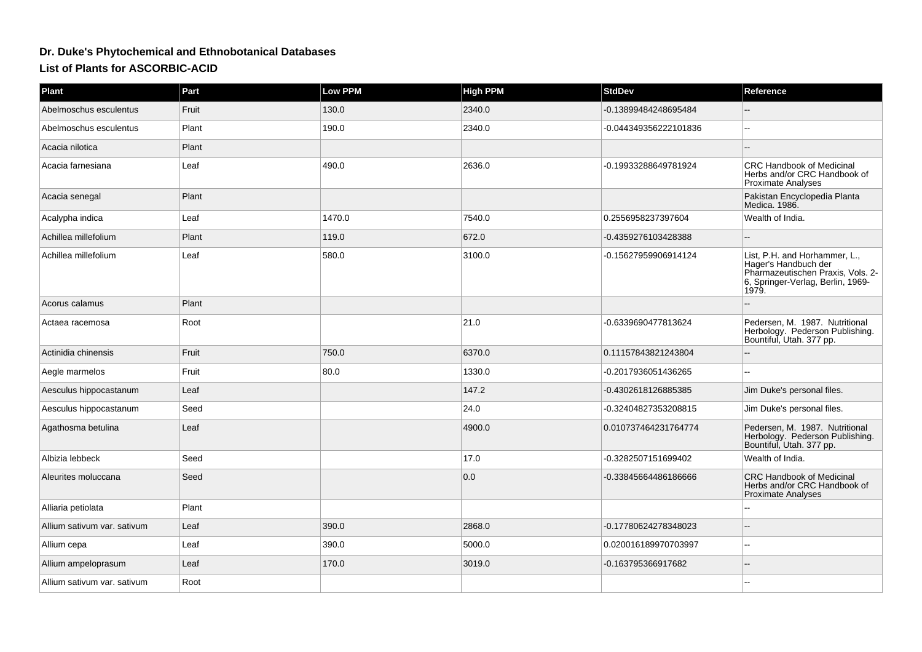## **Dr. Duke's Phytochemical and Ethnobotanical Databases**

**List of Plants for ASCORBIC-ACID**

| Plant                       | Part  | <b>Low PPM</b> | <b>High PPM</b> | <b>StdDev</b>         | Reference                                                                                                                                |
|-----------------------------|-------|----------------|-----------------|-----------------------|------------------------------------------------------------------------------------------------------------------------------------------|
| Abelmoschus esculentus      | Fruit | 130.0          | 2340.0          | -0.13899484248695484  |                                                                                                                                          |
| Abelmoschus esculentus      | Plant | 190.0          | 2340.0          | -0.044349356222101836 | $\sim$                                                                                                                                   |
| Acacia nilotica             | Plant |                |                 |                       |                                                                                                                                          |
| Acacia farnesiana           | Leaf  | 490.0          | 2636.0          | -0.19933288649781924  | <b>CRC Handbook of Medicinal</b><br>Herbs and/or CRC Handbook of<br>Proximate Analyses                                                   |
| Acacia senegal              | Plant |                |                 |                       | Pakistan Encyclopedia Planta<br>Medica. 1986.                                                                                            |
| Acalypha indica             | Leaf  | 1470.0         | 7540.0          | 0.2556958237397604    | Wealth of India.                                                                                                                         |
| Achillea millefolium        | Plant | 119.0          | 672.0           | -0.4359276103428388   |                                                                                                                                          |
| Achillea millefolium        | Leaf  | 580.0          | 3100.0          | -0.15627959906914124  | List, P.H. and Horhammer, L.,<br>Hager's Handbuch der<br>Pharmazeutischen Praxis, Vols. 2-<br>6, Springer-Verlag, Berlin, 1969-<br>1979. |
| Acorus calamus              | Plant |                |                 |                       |                                                                                                                                          |
| Actaea racemosa             | Root  |                | 21.0            | -0.6339690477813624   | Pedersen, M. 1987. Nutritional<br>Herbology. Pederson Publishing.<br>Bountiful, Utah. 377 pp.                                            |
| Actinidia chinensis         | Fruit | 750.0          | 6370.0          | 0.11157843821243804   |                                                                                                                                          |
| Aegle marmelos              | Fruit | 80.0           | 1330.0          | -0.2017936051436265   |                                                                                                                                          |
| Aesculus hippocastanum      | Leaf  |                | 147.2           | -0.4302618126885385   | Jim Duke's personal files.                                                                                                               |
| Aesculus hippocastanum      | Seed  |                | 24.0            | -0.32404827353208815  | Jim Duke's personal files.                                                                                                               |
| Agathosma betulina          | Leaf  |                | 4900.0          | 0.010737464231764774  | Pedersen, M. 1987. Nutritional<br>Herbology. Pederson Publishing.<br>Bountiful, Utah. 377 pp.                                            |
| Albizia lebbeck             | Seed  |                | 17.0            | -0.3282507151699402   | Wealth of India.                                                                                                                         |
| Aleurites moluccana         | Seed  |                | 0.0             | -0.33845664486186666  | <b>CRC Handbook of Medicinal</b><br>Herbs and/or CRC Handbook of<br>Proximate Analyses                                                   |
| Alliaria petiolata          | Plant |                |                 |                       |                                                                                                                                          |
| Allium sativum var. sativum | Leaf  | 390.0          | 2868.0          | -0.17780624278348023  |                                                                                                                                          |
| Allium cepa                 | Leaf  | 390.0          | 5000.0          | 0.020016189970703997  | $\sim$ $\sim$                                                                                                                            |
| Allium ampeloprasum         | Leaf  | 170.0          | 3019.0          | -0.163795366917682    |                                                                                                                                          |
| Allium sativum var. sativum | Root  |                |                 |                       |                                                                                                                                          |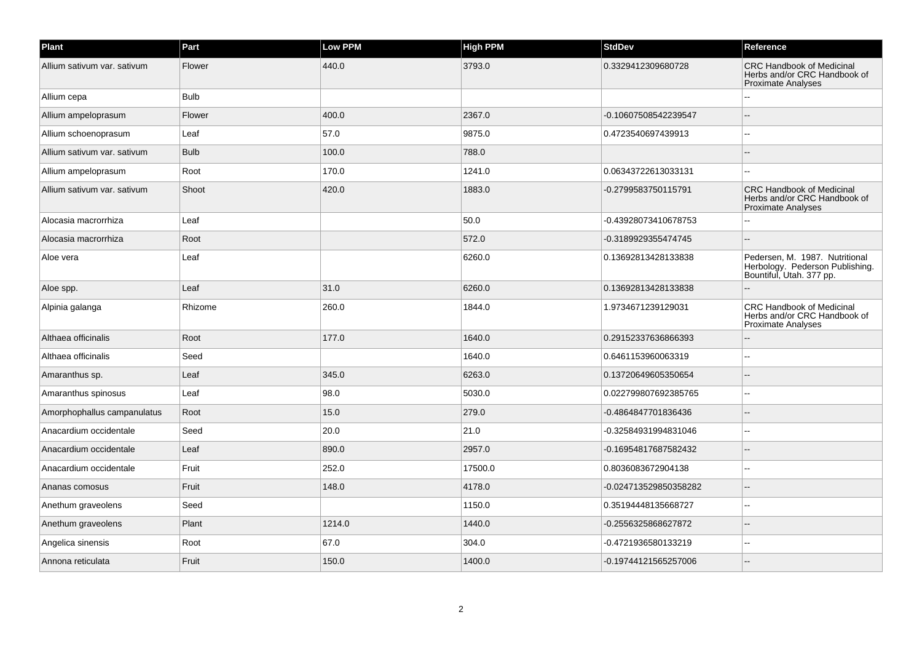| Plant                       | Part        | Low PPM | <b>High PPM</b> | <b>StdDev</b>         | Reference                                                                                     |
|-----------------------------|-------------|---------|-----------------|-----------------------|-----------------------------------------------------------------------------------------------|
| Allium sativum var. sativum | Flower      | 440.0   | 3793.0          | 0.3329412309680728    | <b>CRC Handbook of Medicinal</b><br>Herbs and/or CRC Handbook of<br><b>Proximate Analyses</b> |
| Allium cepa                 | <b>Bulb</b> |         |                 |                       |                                                                                               |
| Allium ampeloprasum         | Flower      | 400.0   | 2367.0          | -0.10607508542239547  |                                                                                               |
| Allium schoenoprasum        | Leaf        | 57.0    | 9875.0          | 0.4723540697439913    |                                                                                               |
| Allium sativum var. sativum | <b>Bulb</b> | 100.0   | 788.0           |                       |                                                                                               |
| Allium ampeloprasum         | Root        | 170.0   | 1241.0          | 0.06343722613033131   |                                                                                               |
| Allium sativum var. sativum | Shoot       | 420.0   | 1883.0          | -0.2799583750115791   | <b>CRC Handbook of Medicinal</b><br>Herbs and/or CRC Handbook of<br><b>Proximate Analyses</b> |
| Alocasia macrorrhiza        | Leaf        |         | 50.0            | -0.43928073410678753  |                                                                                               |
| Alocasia macrorrhiza        | Root        |         | 572.0           | -0.3189929355474745   |                                                                                               |
| Aloe vera                   | Leaf        |         | 6260.0          | 0.13692813428133838   | Pedersen, M. 1987. Nutritional<br>Herbology. Pederson Publishing.<br>Bountiful, Utah. 377 pp. |
| Aloe spp.                   | Leaf        | 31.0    | 6260.0          | 0.13692813428133838   |                                                                                               |
| Alpinia galanga             | Rhizome     | 260.0   | 1844.0          | 1.9734671239129031    | <b>CRC Handbook of Medicinal</b><br>Herbs and/or CRC Handbook of<br><b>Proximate Analyses</b> |
| Althaea officinalis         | Root        | 177.0   | 1640.0          | 0.29152337636866393   |                                                                                               |
| Althaea officinalis         | Seed        |         | 1640.0          | 0.6461153960063319    |                                                                                               |
| Amaranthus sp.              | Leaf        | 345.0   | 6263.0          | 0.13720649605350654   |                                                                                               |
| Amaranthus spinosus         | Leaf        | 98.0    | 5030.0          | 0.022799807692385765  |                                                                                               |
| Amorphophallus campanulatus | Root        | 15.0    | 279.0           | -0.4864847701836436   |                                                                                               |
| Anacardium occidentale      | Seed        | 20.0    | 21.0            | -0.32584931994831046  |                                                                                               |
| Anacardium occidentale      | Leaf        | 890.0   | 2957.0          | -0.16954817687582432  |                                                                                               |
| Anacardium occidentale      | Fruit       | 252.0   | 17500.0         | 0.8036083672904138    | ż.                                                                                            |
| Ananas comosus              | Fruit       | 148.0   | 4178.0          | -0.024713529850358282 |                                                                                               |
| Anethum graveolens          | Seed        |         | 1150.0          | 0.35194448135668727   |                                                                                               |
| Anethum graveolens          | Plant       | 1214.0  | 1440.0          | -0.2556325868627872   |                                                                                               |
| Angelica sinensis           | Root        | 67.0    | 304.0           | -0.4721936580133219   |                                                                                               |
| Annona reticulata           | Fruit       | 150.0   | 1400.0          | -0.19744121565257006  |                                                                                               |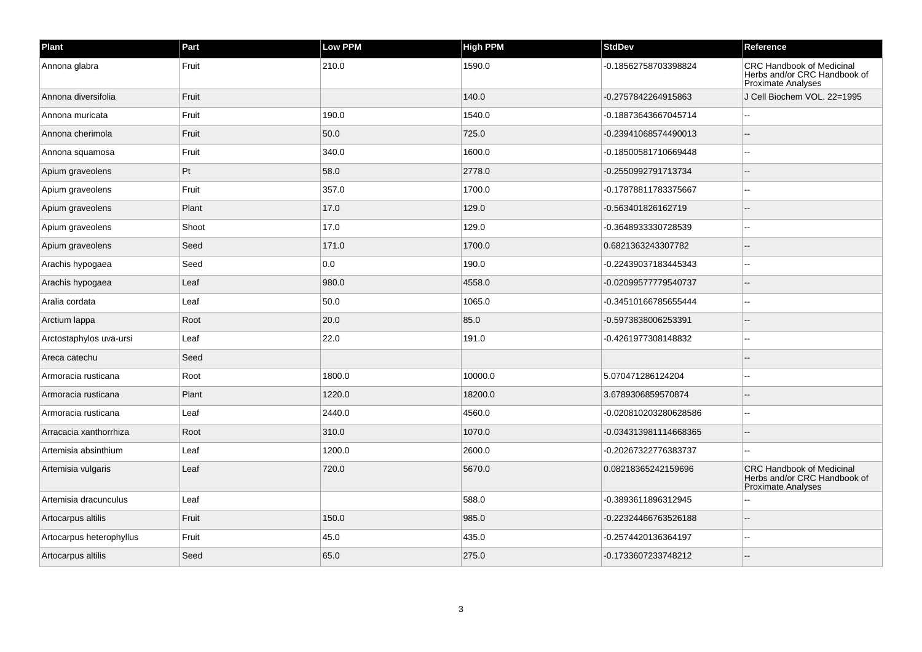| Plant                    | Part  | Low PPM | <b>High PPM</b> | <b>StdDev</b>         | Reference                                                                                     |
|--------------------------|-------|---------|-----------------|-----------------------|-----------------------------------------------------------------------------------------------|
| Annona glabra            | Fruit | 210.0   | 1590.0          | -0.18562758703398824  | <b>CRC Handbook of Medicinal</b><br>Herbs and/or CRC Handbook of<br><b>Proximate Analyses</b> |
| Annona diversifolia      | Fruit |         | 140.0           | -0.2757842264915863   | J Cell Biochem VOL, 22=1995                                                                   |
| Annona muricata          | Fruit | 190.0   | 1540.0          | -0.18873643667045714  |                                                                                               |
| Annona cherimola         | Fruit | 50.0    | 725.0           | -0.23941068574490013  |                                                                                               |
| Annona squamosa          | Fruit | 340.0   | 1600.0          | -0.18500581710669448  |                                                                                               |
| Apium graveolens         | Pt    | 58.0    | 2778.0          | -0.2550992791713734   |                                                                                               |
| Apium graveolens         | Fruit | 357.0   | 1700.0          | -0.17878811783375667  |                                                                                               |
| Apium graveolens         | Plant | 17.0    | 129.0           | -0.563401826162719    |                                                                                               |
| Apium graveolens         | Shoot | 17.0    | 129.0           | -0.3648933330728539   |                                                                                               |
| Apium graveolens         | Seed  | 171.0   | 1700.0          | 0.6821363243307782    |                                                                                               |
| Arachis hypogaea         | Seed  | 0.0     | 190.0           | -0.22439037183445343  |                                                                                               |
| Arachis hypogaea         | Leaf  | 980.0   | 4558.0          | -0.02099577779540737  |                                                                                               |
| Aralia cordata           | Leaf  | 50.0    | 1065.0          | -0.34510166785655444  |                                                                                               |
| Arctium lappa            | Root  | 20.0    | 85.0            | -0.5973838006253391   |                                                                                               |
| Arctostaphylos uva-ursi  | Leaf  | 22.0    | 191.0           | -0.4261977308148832   |                                                                                               |
| Areca catechu            | Seed  |         |                 |                       |                                                                                               |
| Armoracia rusticana      | Root  | 1800.0  | 10000.0         | 5.070471286124204     |                                                                                               |
| Armoracia rusticana      | Plant | 1220.0  | 18200.0         | 3.6789306859570874    |                                                                                               |
| Armoracia rusticana      | Leaf  | 2440.0  | 4560.0          | -0.020810203280628586 | ۵.                                                                                            |
| Arracacia xanthorrhiza   | Root  | 310.0   | 1070.0          | -0.034313981114668365 |                                                                                               |
| Artemisia absinthium     | Leaf  | 1200.0  | 2600.0          | -0.20267322776383737  |                                                                                               |
| Artemisia vulgaris       | Leaf  | 720.0   | 5670.0          | 0.08218365242159696   | <b>CRC Handbook of Medicinal</b><br>Herbs and/or CRC Handbook of<br>Proximate Analyses        |
| Artemisia dracunculus    | Leaf  |         | 588.0           | -0.3893611896312945   |                                                                                               |
| Artocarpus altilis       | Fruit | 150.0   | 985.0           | -0.22324466763526188  |                                                                                               |
| Artocarpus heterophyllus | Fruit | 45.0    | 435.0           | -0.2574420136364197   |                                                                                               |
| Artocarpus altilis       | Seed  | 65.0    | 275.0           | -0.1733607233748212   |                                                                                               |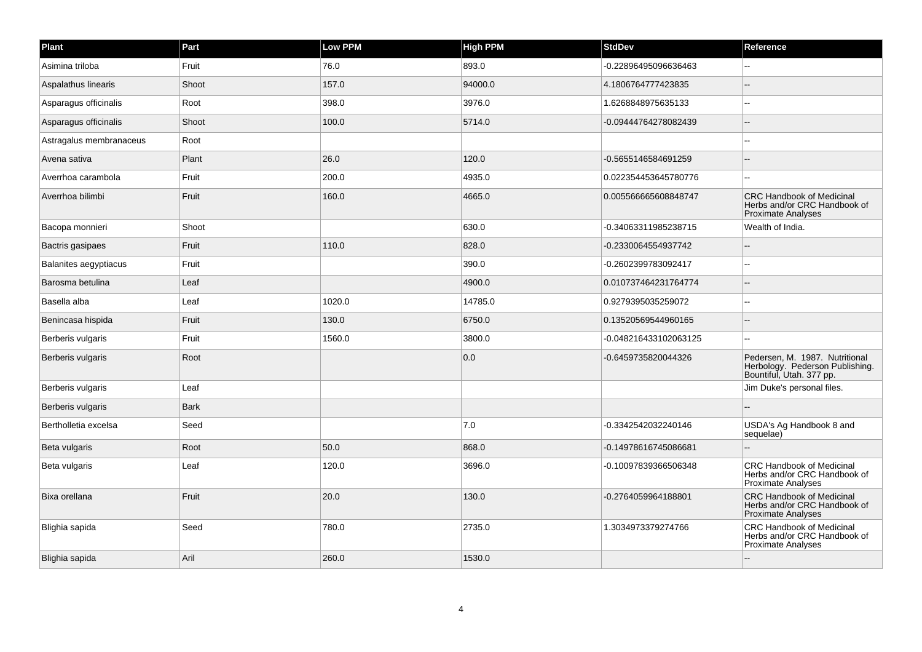| Plant                        | Part        | Low PPM | <b>High PPM</b> | <b>StdDev</b>         | Reference                                                                                     |
|------------------------------|-------------|---------|-----------------|-----------------------|-----------------------------------------------------------------------------------------------|
| Asimina triloba              | Fruit       | 76.0    | 893.0           | -0.22896495096636463  |                                                                                               |
| Aspalathus linearis          | Shoot       | 157.0   | 94000.0         | 4.1806764777423835    | $\overline{a}$                                                                                |
| Asparagus officinalis        | Root        | 398.0   | 3976.0          | 1.6268848975635133    |                                                                                               |
| Asparagus officinalis        | Shoot       | 100.0   | 5714.0          | -0.09444764278082439  |                                                                                               |
| Astragalus membranaceus      | Root        |         |                 |                       | $\overline{a}$                                                                                |
| Avena sativa                 | Plant       | 26.0    | 120.0           | -0.5655146584691259   |                                                                                               |
| Averrhoa carambola           | Fruit       | 200.0   | 4935.0          | 0.022354453645780776  | $\overline{a}$                                                                                |
| Averrhoa bilimbi             | Fruit       | 160.0   | 4665.0          | 0.005566665608848747  | <b>CRC Handbook of Medicinal</b><br>Herbs and/or CRC Handbook of<br>Proximate Analyses        |
| Bacopa monnieri              | Shoot       |         | 630.0           | -0.34063311985238715  | Wealth of India.                                                                              |
| Bactris gasipaes             | Fruit       | 110.0   | 828.0           | -0.2330064554937742   |                                                                                               |
| <b>Balanites aegyptiacus</b> | Fruit       |         | 390.0           | -0.2602399783092417   |                                                                                               |
| Barosma betulina             | Leaf        |         | 4900.0          | 0.010737464231764774  | $\overline{a}$                                                                                |
| Basella alba                 | Leaf        | 1020.0  | 14785.0         | 0.9279395035259072    | --                                                                                            |
| Benincasa hispida            | Fruit       | 130.0   | 6750.0          | 0.13520569544960165   |                                                                                               |
| Berberis vulgaris            | Fruit       | 1560.0  | 3800.0          | -0.048216433102063125 | $\overline{a}$                                                                                |
| Berberis vulgaris            | Root        |         | 0.0             | -0.6459735820044326   | Pedersen, M. 1987. Nutritional<br>Herbology. Pederson Publishing.<br>Bountiful, Utah. 377 pp. |
| Berberis vulgaris            | Leaf        |         |                 |                       | Jim Duke's personal files.                                                                    |
| Berberis vulgaris            | <b>Bark</b> |         |                 |                       | --                                                                                            |
| Bertholletia excelsa         | Seed        |         | 7.0             | -0.3342542032240146   | USDA's Ag Handbook 8 and<br>sequelae)                                                         |
| Beta vulgaris                | Root        | 50.0    | 868.0           | -0.14978616745086681  |                                                                                               |
| Beta vulgaris                | Leaf        | 120.0   | 3696.0          | -0.10097839366506348  | CRC Handbook of Medicinal<br>Herbs and/or CRC Handbook of<br><b>Proximate Analyses</b>        |
| Bixa orellana                | Fruit       | 20.0    | 130.0           | -0.2764059964188801   | <b>CRC Handbook of Medicinal</b><br>Herbs and/or CRC Handbook of<br>Proximate Analyses        |
| Blighia sapida               | Seed        | 780.0   | 2735.0          | 1.3034973379274766    | <b>CRC Handbook of Medicinal</b><br>Herbs and/or CRC Handbook of<br><b>Proximate Analyses</b> |
| Blighia sapida               | Aril        | 260.0   | 1530.0          |                       |                                                                                               |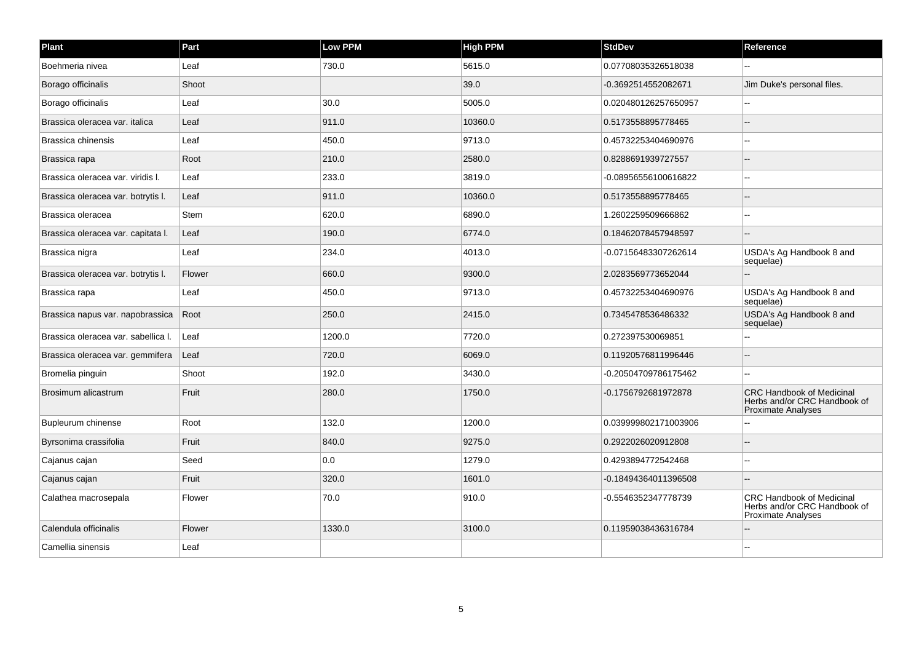| Plant                               | Part        | Low PPM | <b>High PPM</b> | <b>StdDev</b>        | Reference                                                                                     |
|-------------------------------------|-------------|---------|-----------------|----------------------|-----------------------------------------------------------------------------------------------|
| Boehmeria nivea                     | Leaf        | 730.0   | 5615.0          | 0.07708035326518038  |                                                                                               |
| Borago officinalis                  | Shoot       |         | 39.0            | -0.3692514552082671  | Jim Duke's personal files.                                                                    |
| Borago officinalis                  | Leaf        | 30.0    | 5005.0          | 0.020480126257650957 |                                                                                               |
| Brassica oleracea var. italica      | Leaf        | 911.0   | 10360.0         | 0.5173558895778465   |                                                                                               |
| Brassica chinensis                  | Leaf        | 450.0   | 9713.0          | 0.45732253404690976  |                                                                                               |
| Brassica rapa                       | Root        | 210.0   | 2580.0          | 0.8288691939727557   |                                                                                               |
| Brassica oleracea var. viridis I.   | Leaf        | 233.0   | 3819.0          | -0.08956556100616822 |                                                                                               |
| Brassica oleracea var. botrytis I.  | Leaf        | 911.0   | 10360.0         | 0.5173558895778465   |                                                                                               |
| Brassica oleracea                   | <b>Stem</b> | 620.0   | 6890.0          | 1.2602259509666862   |                                                                                               |
| Brassica oleracea var. capitata I.  | Leaf        | 190.0   | 6774.0          | 0.18462078457948597  |                                                                                               |
| Brassica nigra                      | Leaf        | 234.0   | 4013.0          | -0.07156483307262614 | USDA's Ag Handbook 8 and<br>sequelae)                                                         |
| Brassica oleracea var. botrytis I.  | Flower      | 660.0   | 9300.0          | 2.0283569773652044   |                                                                                               |
| Brassica rapa                       | Leaf        | 450.0   | 9713.0          | 0.45732253404690976  | USDA's Ag Handbook 8 and<br>sequelae)                                                         |
| Brassica napus var. napobrassica    | Root        | 250.0   | 2415.0          | 0.7345478536486332   | USDA's Ag Handbook 8 and<br>sequelae)                                                         |
| Brassica oleracea var. sabellica I. | Leaf        | 1200.0  | 7720.0          | 0.272397530069851    |                                                                                               |
| Brassica oleracea var. gemmifera    | Leaf        | 720.0   | 6069.0          | 0.11920576811996446  |                                                                                               |
| Bromelia pinguin                    | Shoot       | 192.0   | 3430.0          | -0.20504709786175462 |                                                                                               |
| Brosimum alicastrum                 | Fruit       | 280.0   | 1750.0          | -0.1756792681972878  | <b>CRC Handbook of Medicinal</b><br>Herbs and/or CRC Handbook of<br><b>Proximate Analyses</b> |
| Bupleurum chinense                  | Root        | 132.0   | 1200.0          | 0.039999802171003906 |                                                                                               |
| Byrsonima crassifolia               | Fruit       | 840.0   | 9275.0          | 0.2922026020912808   |                                                                                               |
| Cajanus cajan                       | Seed        | 0.0     | 1279.0          | 0.4293894772542468   |                                                                                               |
| Cajanus cajan                       | Fruit       | 320.0   | 1601.0          | -0.18494364011396508 |                                                                                               |
| Calathea macrosepala                | Flower      | 70.0    | 910.0           | -0.5546352347778739  | <b>CRC Handbook of Medicinal</b><br>Herbs and/or CRC Handbook of<br><b>Proximate Analyses</b> |
| Calendula officinalis               | Flower      | 1330.0  | 3100.0          | 0.11959038436316784  |                                                                                               |
| Camellia sinensis                   | Leaf        |         |                 |                      |                                                                                               |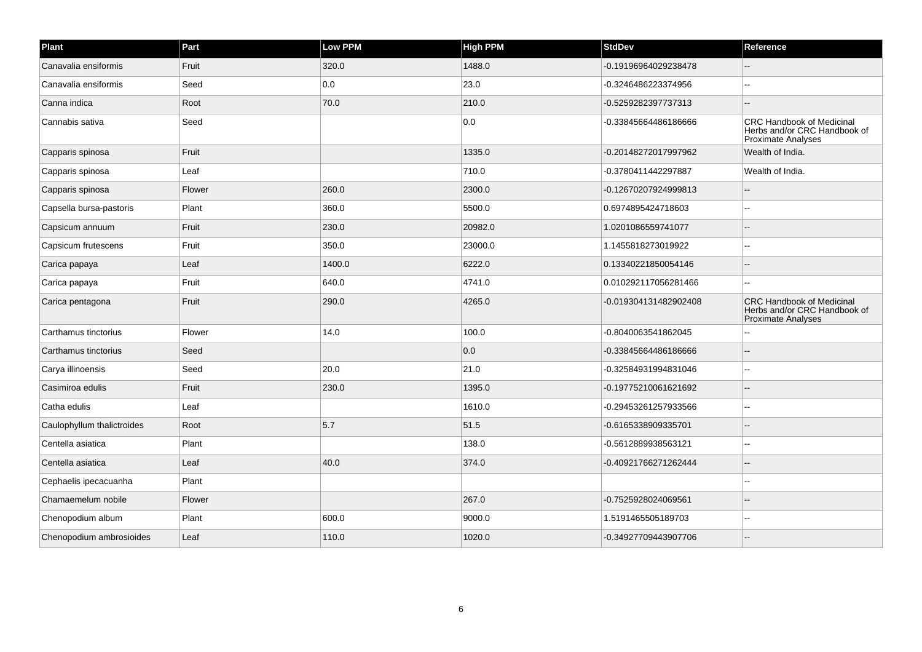| Plant                      | Part   | Low PPM | <b>High PPM</b> | <b>StdDev</b>         | Reference                                                                                     |
|----------------------------|--------|---------|-----------------|-----------------------|-----------------------------------------------------------------------------------------------|
| Canavalia ensiformis       | Fruit  | 320.0   | 1488.0          | -0.19196964029238478  |                                                                                               |
| Canavalia ensiformis       | Seed   | 0.0     | 23.0            | -0.3246486223374956   | $-$                                                                                           |
| Canna indica               | Root   | 70.0    | 210.0           | -0.5259282397737313   | $\overline{a}$                                                                                |
| Cannabis sativa            | Seed   |         | 0.0             | -0.33845664486186666  | <b>CRC Handbook of Medicinal</b><br>Herbs and/or CRC Handbook of<br>Proximate Analyses        |
| Capparis spinosa           | Fruit  |         | 1335.0          | -0.20148272017997962  | Wealth of India.                                                                              |
| Capparis spinosa           | Leaf   |         | 710.0           | -0.3780411442297887   | Wealth of India.                                                                              |
| Capparis spinosa           | Flower | 260.0   | 2300.0          | -0.12670207924999813  | $\overline{a}$                                                                                |
| Capsella bursa-pastoris    | Plant  | 360.0   | 5500.0          | 0.6974895424718603    |                                                                                               |
| Capsicum annuum            | Fruit  | 230.0   | 20982.0         | 1.0201086559741077    |                                                                                               |
| Capsicum frutescens        | Fruit  | 350.0   | 23000.0         | 1.1455818273019922    | $\sim$ $\sim$                                                                                 |
| Carica papaya              | Leaf   | 1400.0  | 6222.0          | 0.13340221850054146   |                                                                                               |
| Carica papaya              | Fruit  | 640.0   | 4741.0          | 0.010292117056281466  |                                                                                               |
| Carica pentagona           | Fruit  | 290.0   | 4265.0          | -0.019304131482902408 | <b>CRC Handbook of Medicinal</b><br>Herbs and/or CRC Handbook of<br><b>Proximate Analyses</b> |
| Carthamus tinctorius       | Flower | 14.0    | 100.0           | -0.8040063541862045   |                                                                                               |
| Carthamus tinctorius       | Seed   |         | 0.0             | -0.33845664486186666  |                                                                                               |
| Carya illinoensis          | Seed   | 20.0    | 21.0            | -0.32584931994831046  | $\overline{a}$                                                                                |
| Casimiroa edulis           | Fruit  | 230.0   | 1395.0          | -0.19775210061621692  |                                                                                               |
| Catha edulis               | Leaf   |         | 1610.0          | -0.29453261257933566  |                                                                                               |
| Caulophyllum thalictroides | Root   | 5.7     | 51.5            | -0.6165338909335701   |                                                                                               |
| Centella asiatica          | Plant  |         | 138.0           | -0.5612889938563121   | $\overline{a}$                                                                                |
| Centella asiatica          | Leaf   | 40.0    | 374.0           | -0.40921766271262444  |                                                                                               |
| Cephaelis ipecacuanha      | Plant  |         |                 |                       |                                                                                               |
| Chamaemelum nobile         | Flower |         | 267.0           | -0.7525928024069561   |                                                                                               |
| Chenopodium album          | Plant  | 600.0   | 9000.0          | 1.5191465505189703    | $\sim$                                                                                        |
| Chenopodium ambrosioides   | Leaf   | 110.0   | 1020.0          | -0.34927709443907706  |                                                                                               |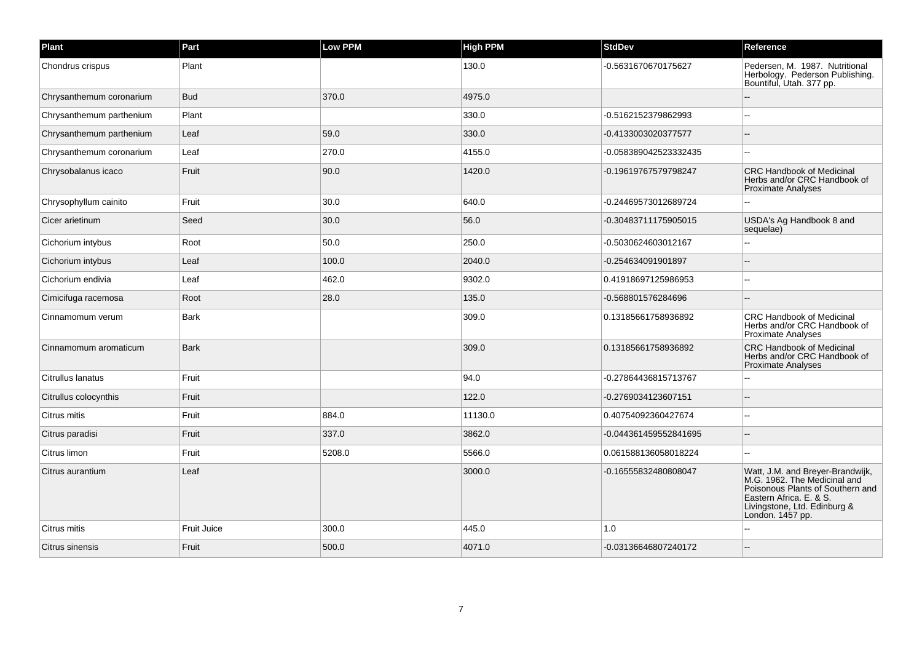| Plant                    | Part               | Low PPM | <b>High PPM</b> | <b>StdDev</b>         | Reference                                                                                                                                                                        |
|--------------------------|--------------------|---------|-----------------|-----------------------|----------------------------------------------------------------------------------------------------------------------------------------------------------------------------------|
| Chondrus crispus         | Plant              |         | 130.0           | -0.5631670670175627   | Pedersen, M. 1987. Nutritional<br>Herbology. Pederson Publishing.<br>Bountiful, Utah. 377 pp.                                                                                    |
| Chrysanthemum coronarium | <b>Bud</b>         | 370.0   | 4975.0          |                       |                                                                                                                                                                                  |
| Chrysanthemum parthenium | Plant              |         | 330.0           | -0.5162152379862993   |                                                                                                                                                                                  |
| Chrysanthemum parthenium | Leaf               | 59.0    | 330.0           | -0.4133003020377577   |                                                                                                                                                                                  |
| Chrysanthemum coronarium | Leaf               | 270.0   | 4155.0          | -0.058389042523332435 |                                                                                                                                                                                  |
| Chrysobalanus icaco      | Fruit              | 90.0    | 1420.0          | -0.19619767579798247  | <b>CRC Handbook of Medicinal</b><br>Herbs and/or CRC Handbook of<br><b>Proximate Analyses</b>                                                                                    |
| Chrysophyllum cainito    | Fruit              | 30.0    | 640.0           | -0.24469573012689724  |                                                                                                                                                                                  |
| Cicer arietinum          | Seed               | 30.0    | 56.0            | -0.30483711175905015  | USDA's Ag Handbook 8 and<br>sequelae)                                                                                                                                            |
| Cichorium intybus        | Root               | 50.0    | 250.0           | -0.5030624603012167   |                                                                                                                                                                                  |
| Cichorium intybus        | Leaf               | 100.0   | 2040.0          | -0.254634091901897    |                                                                                                                                                                                  |
| Cichorium endivia        | Leaf               | 462.0   | 9302.0          | 0.41918697125986953   |                                                                                                                                                                                  |
| Cimicifuga racemosa      | Root               | 28.0    | 135.0           | -0.568801576284696    |                                                                                                                                                                                  |
| Cinnamomum verum         | <b>Bark</b>        |         | 309.0           | 0.13185661758936892   | <b>CRC Handbook of Medicinal</b><br>Herbs and/or CRC Handbook of<br>Proximate Analyses                                                                                           |
| Cinnamomum aromaticum    | <b>Bark</b>        |         | 309.0           | 0.13185661758936892   | CRC Handbook of Medicinal<br>Herbs and/or CRC Handbook of<br>Proximate Analyses                                                                                                  |
| Citrullus lanatus        | Fruit              |         | 94.0            | -0.27864436815713767  |                                                                                                                                                                                  |
| Citrullus colocynthis    | Fruit              |         | 122.0           | -0.2769034123607151   |                                                                                                                                                                                  |
| Citrus mitis             | Fruit              | 884.0   | 11130.0         | 0.40754092360427674   |                                                                                                                                                                                  |
| Citrus paradisi          | Fruit              | 337.0   | 3862.0          | -0.044361459552841695 |                                                                                                                                                                                  |
| Citrus limon             | Fruit              | 5208.0  | 5566.0          | 0.061588136058018224  |                                                                                                                                                                                  |
| Citrus aurantium         | Leaf               |         | 3000.0          | -0.16555832480808047  | Watt, J.M. and Breyer-Brandwijk, M.G. 1962. The Medicinal and<br>Poisonous Plants of Southern and<br>Eastern Africa. E. & S.<br>Livingstone, Ltd. Edinburg &<br>London. 1457 pp. |
| Citrus mitis             | <b>Fruit Juice</b> | 300.0   | 445.0           | 1.0                   |                                                                                                                                                                                  |
| Citrus sinensis          | Fruit              | 500.0   | 4071.0          | -0.03136646807240172  |                                                                                                                                                                                  |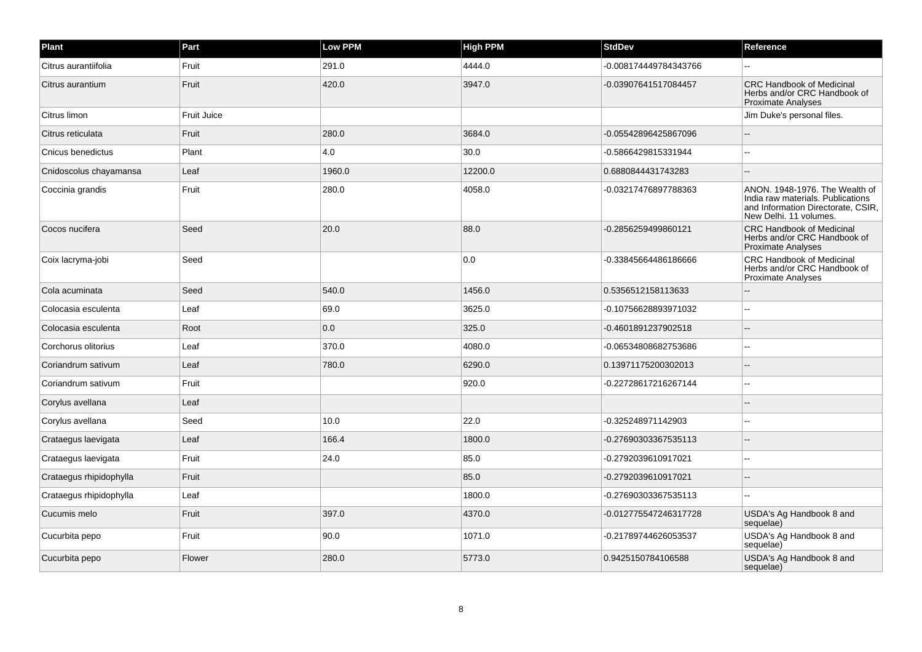| Plant                   | Part        | <b>Low PPM</b> | <b>High PPM</b> | <b>StdDev</b>         | Reference                                                                                                                           |
|-------------------------|-------------|----------------|-----------------|-----------------------|-------------------------------------------------------------------------------------------------------------------------------------|
| Citrus aurantiifolia    | Fruit       | 291.0          | 4444.0          | -0.008174449784343766 |                                                                                                                                     |
| Citrus aurantium        | Fruit       | 420.0          | 3947.0          | -0.03907641517084457  | <b>CRC Handbook of Medicinal</b><br>Herbs and/or CRC Handbook of<br><b>Proximate Analyses</b>                                       |
| Citrus limon            | Fruit Juice |                |                 |                       | Jim Duke's personal files.                                                                                                          |
| Citrus reticulata       | Fruit       | 280.0          | 3684.0          | -0.05542896425867096  |                                                                                                                                     |
| Cnicus benedictus       | Plant       | 4.0            | 30.0            | -0.5866429815331944   |                                                                                                                                     |
| Cnidoscolus chayamansa  | Leaf        | 1960.0         | 12200.0         | 0.6880844431743283    | $\overline{a}$                                                                                                                      |
| Coccinia grandis        | Fruit       | 280.0          | 4058.0          | -0.03217476897788363  | ANON. 1948-1976. The Wealth of<br>India raw materials. Publications<br>and Information Directorate, CSIR,<br>New Delhi. 11 volumes. |
| Cocos nucifera          | Seed        | 20.0           | 88.0            | -0.2856259499860121   | <b>CRC Handbook of Medicinal</b><br>Herbs and/or CRC Handbook of<br><b>Proximate Analyses</b>                                       |
| Coix lacryma-jobi       | Seed        |                | 0.0             | -0.33845664486186666  | CRC Handbook of Medicinal<br>Herbs and/or CRC Handbook of<br>Proximate Analyses                                                     |
| Cola acuminata          | Seed        | 540.0          | 1456.0          | 0.5356512158113633    |                                                                                                                                     |
| Colocasia esculenta     | Leaf        | 69.0           | 3625.0          | -0.10756628893971032  |                                                                                                                                     |
| Colocasia esculenta     | Root        | 0.0            | 325.0           | -0.4601891237902518   |                                                                                                                                     |
| Corchorus olitorius     | Leaf        | 370.0          | 4080.0          | -0.06534808682753686  |                                                                                                                                     |
| Coriandrum sativum      | Leaf        | 780.0          | 6290.0          | 0.13971175200302013   |                                                                                                                                     |
| Coriandrum sativum      | Fruit       |                | 920.0           | -0.22728617216267144  |                                                                                                                                     |
| Corylus avellana        | Leaf        |                |                 |                       |                                                                                                                                     |
| Corylus avellana        | Seed        | 10.0           | 22.0            | -0.325248971142903    |                                                                                                                                     |
| Crataegus laevigata     | Leaf        | 166.4          | 1800.0          | -0.27690303367535113  |                                                                                                                                     |
| Crataegus laevigata     | Fruit       | 24.0           | 85.0            | -0.2792039610917021   |                                                                                                                                     |
| Crataegus rhipidophylla | Fruit       |                | 85.0            | -0.2792039610917021   |                                                                                                                                     |
| Crataegus rhipidophylla | Leaf        |                | 1800.0          | -0.27690303367535113  |                                                                                                                                     |
| Cucumis melo            | Fruit       | 397.0          | 4370.0          | -0.012775547246317728 | USDA's Ag Handbook 8 and<br>sequelae)                                                                                               |
| Cucurbita pepo          | Fruit       | 90.0           | 1071.0          | -0.21789744626053537  | USDA's Ag Handbook 8 and<br>sequelae)                                                                                               |
| Cucurbita pepo          | Flower      | 280.0          | 5773.0          | 0.9425150784106588    | USDA's Ag Handbook 8 and<br>sequelae)                                                                                               |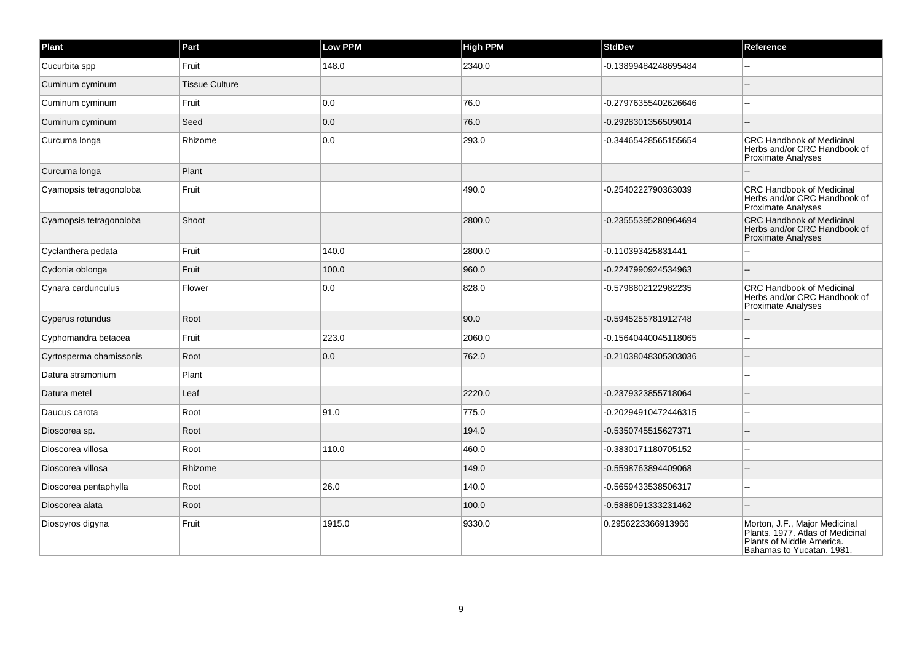| Plant                   | Part                  | Low PPM | <b>High PPM</b> | <b>StdDev</b>        | Reference                                                                                                                   |
|-------------------------|-----------------------|---------|-----------------|----------------------|-----------------------------------------------------------------------------------------------------------------------------|
| Cucurbita spp           | Fruit                 | 148.0   | 2340.0          | -0.13899484248695484 |                                                                                                                             |
| Cuminum cyminum         | <b>Tissue Culture</b> |         |                 |                      |                                                                                                                             |
| Cuminum cyminum         | Fruit                 | 0.0     | 76.0            | -0.27976355402626646 |                                                                                                                             |
| Cuminum cyminum         | Seed                  | 0.0     | 76.0            | -0.2928301356509014  |                                                                                                                             |
| Curcuma longa           | Rhizome               | 0.0     | 293.0           | -0.34465428565155654 | <b>CRC Handbook of Medicinal</b><br>Herbs and/or CRC Handbook of<br><b>Proximate Analyses</b>                               |
| Curcuma longa           | Plant                 |         |                 |                      |                                                                                                                             |
| Cyamopsis tetragonoloba | Fruit                 |         | 490.0           | -0.2540222790363039  | <b>CRC Handbook of Medicinal</b><br>Herbs and/or CRC Handbook of<br><b>Proximate Analyses</b>                               |
| Cyamopsis tetragonoloba | Shoot                 |         | 2800.0          | -0.23555395280964694 | <b>CRC Handbook of Medicinal</b><br>Herbs and/or CRC Handbook of<br><b>Proximate Analyses</b>                               |
| Cyclanthera pedata      | Fruit                 | 140.0   | 2800.0          | -0.110393425831441   |                                                                                                                             |
| Cydonia oblonga         | Fruit                 | 100.0   | 960.0           | -0.2247990924534963  |                                                                                                                             |
| Cynara cardunculus      | Flower                | 0.0     | 828.0           | -0.5798802122982235  | <b>CRC Handbook of Medicinal</b><br>Herbs and/or CRC Handbook of<br><b>Proximate Analyses</b>                               |
| Cyperus rotundus        | Root                  |         | 90.0            | -0.5945255781912748  |                                                                                                                             |
| Cyphomandra betacea     | Fruit                 | 223.0   | 2060.0          | -0.15640440045118065 |                                                                                                                             |
| Cyrtosperma chamissonis | Root                  | 0.0     | 762.0           | -0.21038048305303036 |                                                                                                                             |
| Datura stramonium       | Plant                 |         |                 |                      | $\sim$                                                                                                                      |
| Datura metel            | Leaf                  |         | 2220.0          | -0.2379323855718064  |                                                                                                                             |
| Daucus carota           | Root                  | 91.0    | 775.0           | -0.20294910472446315 |                                                                                                                             |
| Dioscorea sp.           | Root                  |         | 194.0           | -0.5350745515627371  |                                                                                                                             |
| Dioscorea villosa       | Root                  | 110.0   | 460.0           | -0.3830171180705152  | --                                                                                                                          |
| Dioscorea villosa       | Rhizome               |         | 149.0           | -0.5598763894409068  |                                                                                                                             |
| Dioscorea pentaphylla   | Root                  | 26.0    | 140.0           | -0.5659433538506317  | $-$                                                                                                                         |
| Dioscorea alata         | Root                  |         | 100.0           | -0.5888091333231462  |                                                                                                                             |
| Diospyros digyna        | Fruit                 | 1915.0  | 9330.0          | 0.2956223366913966   | Morton, J.F., Major Medicinal<br>Plants. 1977. Atlas of Medicinal<br>Plants of Middle America.<br>Bahamas to Yucatan. 1981. |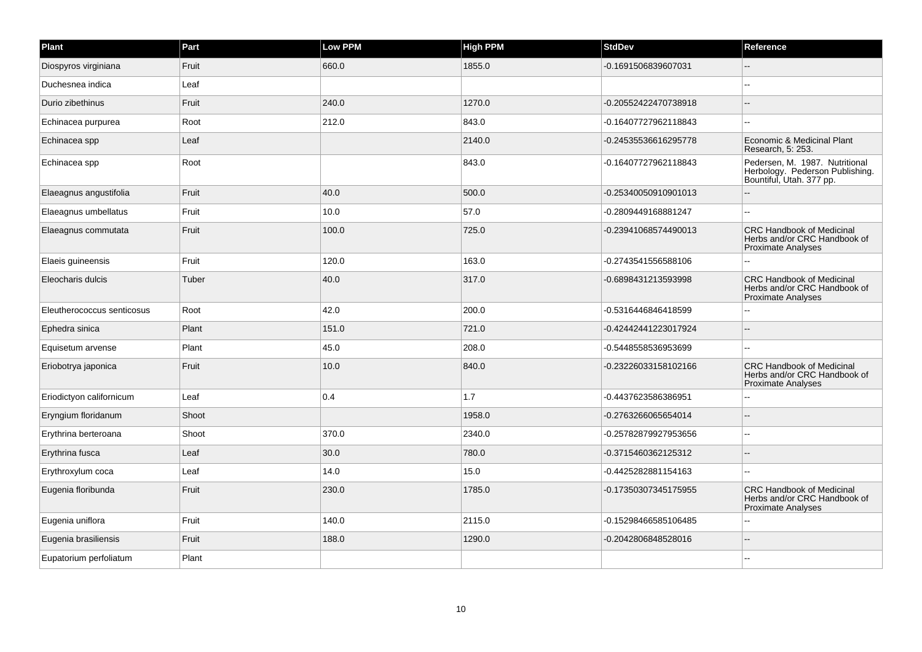| Plant                      | Part  | Low PPM | <b>High PPM</b> | <b>StdDev</b>        | Reference                                                                                     |
|----------------------------|-------|---------|-----------------|----------------------|-----------------------------------------------------------------------------------------------|
| Diospyros virginiana       | Fruit | 660.0   | 1855.0          | -0.1691506839607031  |                                                                                               |
| Duchesnea indica           | Leaf  |         |                 |                      |                                                                                               |
| Durio zibethinus           | Fruit | 240.0   | 1270.0          | -0.20552422470738918 |                                                                                               |
| Echinacea purpurea         | Root  | 212.0   | 843.0           | -0.16407727962118843 |                                                                                               |
| Echinacea spp              | Leaf  |         | 2140.0          | -0.24535536616295778 | Economic & Medicinal Plant<br>Research, 5: 253.                                               |
| Echinacea spp              | Root  |         | 843.0           | -0.16407727962118843 | Pedersen, M. 1987. Nutritional<br>Herbology. Pederson Publishing.<br>Bountiful, Utah. 377 pp. |
| Elaeagnus angustifolia     | Fruit | 40.0    | 500.0           | -0.25340050910901013 |                                                                                               |
| Elaeagnus umbellatus       | Fruit | 10.0    | 57.0            | -0.2809449168881247  |                                                                                               |
| Elaeagnus commutata        | Fruit | 100.0   | 725.0           | -0.23941068574490013 | <b>CRC Handbook of Medicinal</b><br>Herbs and/or CRC Handbook of<br>Proximate Analyses        |
| Elaeis guineensis          | Fruit | 120.0   | 163.0           | -0.2743541556588106  |                                                                                               |
| Eleocharis dulcis          | Tuber | 40.0    | 317.0           | -0.6898431213593998  | <b>CRC Handbook of Medicinal</b><br>Herbs and/or CRC Handbook of<br><b>Proximate Analyses</b> |
| Eleutherococcus senticosus | Root  | 42.0    | 200.0           | -0.5316446846418599  |                                                                                               |
| Ephedra sinica             | Plant | 151.0   | 721.0           | -0.42442441223017924 |                                                                                               |
| Equisetum arvense          | Plant | 45.0    | 208.0           | -0.5448558536953699  |                                                                                               |
| Eriobotrya japonica        | Fruit | 10.0    | 840.0           | -0.23226033158102166 | <b>CRC Handbook of Medicinal</b><br>Herbs and/or CRC Handbook of<br><b>Proximate Analyses</b> |
| Eriodictyon californicum   | Leaf  | 0.4     | 1.7             | -0.4437623586386951  |                                                                                               |
| Eryngium floridanum        | Shoot |         | 1958.0          | -0.2763266065654014  |                                                                                               |
| Erythrina berteroana       | Shoot | 370.0   | 2340.0          | -0.25782879927953656 |                                                                                               |
| Erythrina fusca            | Leaf  | 30.0    | 780.0           | -0.3715460362125312  |                                                                                               |
| Erythroxylum coca          | Leaf  | 14.0    | 15.0            | -0.4425282881154163  |                                                                                               |
| Eugenia floribunda         | Fruit | 230.0   | 1785.0          | -0.17350307345175955 | <b>CRC Handbook of Medicinal</b><br>Herbs and/or CRC Handbook of<br><b>Proximate Analyses</b> |
| Eugenia uniflora           | Fruit | 140.0   | 2115.0          | -0.15298466585106485 |                                                                                               |
| Eugenia brasiliensis       | Fruit | 188.0   | 1290.0          | -0.2042806848528016  |                                                                                               |
| Eupatorium perfoliatum     | Plant |         |                 |                      |                                                                                               |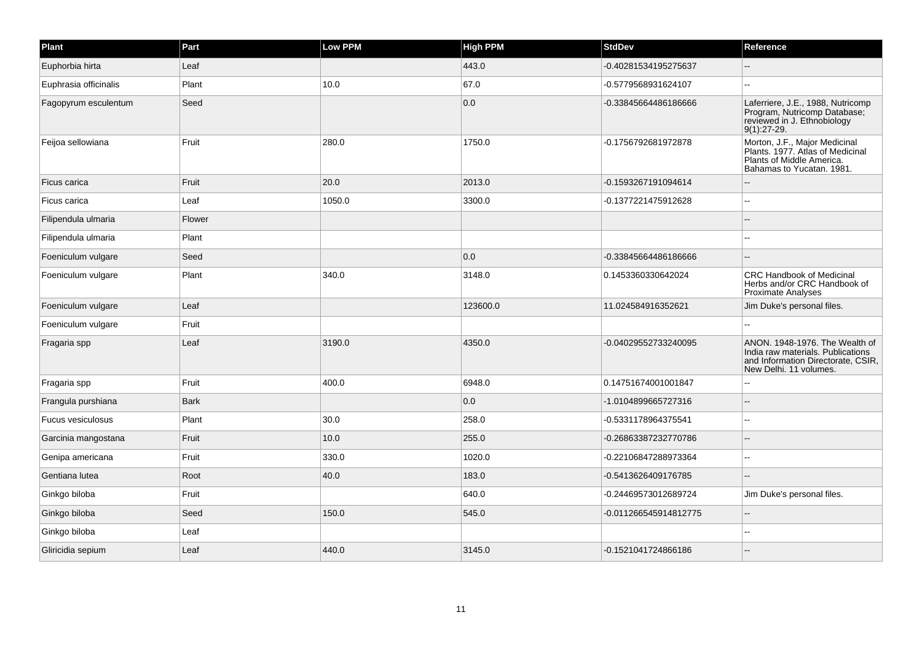| Plant                 | Part        | <b>Low PPM</b> | <b>High PPM</b> | <b>StdDev</b>         | Reference                                                                                                                           |
|-----------------------|-------------|----------------|-----------------|-----------------------|-------------------------------------------------------------------------------------------------------------------------------------|
| Euphorbia hirta       | Leaf        |                | 443.0           | -0.40281534195275637  |                                                                                                                                     |
| Euphrasia officinalis | Plant       | 10.0           | 67.0            | -0.5779568931624107   | $\overline{a}$                                                                                                                      |
| Fagopyrum esculentum  | Seed        |                | 0.0             | -0.33845664486186666  | Laferriere, J.E., 1988, Nutricomp<br>Program, Nutricomp Database;<br>reviewed in J. Ethnobiology<br>$9(1):27-29.$                   |
| Feijoa sellowiana     | Fruit       | 280.0          | 1750.0          | -0.1756792681972878   | Morton, J.F., Major Medicinal<br>Plants. 1977. Atlas of Medicinal<br>Plants of Middle America.<br>Bahamas to Yucatan. 1981.         |
| Ficus carica          | Fruit       | 20.0           | 2013.0          | -0.1593267191094614   |                                                                                                                                     |
| Ficus carica          | Leaf        | 1050.0         | 3300.0          | -0.1377221475912628   | --                                                                                                                                  |
| Filipendula ulmaria   | Flower      |                |                 |                       |                                                                                                                                     |
| Filipendula ulmaria   | Plant       |                |                 |                       |                                                                                                                                     |
| Foeniculum vulgare    | Seed        |                | 0.0             | -0.33845664486186666  | $\sim$                                                                                                                              |
| Foeniculum vulgare    | Plant       | 340.0          | 3148.0          | 0.1453360330642024    | <b>CRC Handbook of Medicinal</b><br>Herbs and/or CRC Handbook of<br><b>Proximate Analyses</b>                                       |
| Foeniculum vulgare    | Leaf        |                | 123600.0        | 11.024584916352621    | Jim Duke's personal files.                                                                                                          |
| Foeniculum vulgare    | Fruit       |                |                 |                       |                                                                                                                                     |
| Fragaria spp          | Leaf        | 3190.0         | 4350.0          | -0.04029552733240095  | ANON. 1948-1976. The Wealth of<br>India raw materials. Publications<br>and Information Directorate, CSIR,<br>New Delhi. 11 volumes. |
| Fragaria spp          | Fruit       | 400.0          | 6948.0          | 0.14751674001001847   |                                                                                                                                     |
| Frangula purshiana    | <b>Bark</b> |                | 0.0             | -1.0104899665727316   |                                                                                                                                     |
| Fucus vesiculosus     | Plant       | 30.0           | 258.0           | -0.5331178964375541   |                                                                                                                                     |
| Garcinia mangostana   | Fruit       | 10.0           | 255.0           | -0.26863387232770786  |                                                                                                                                     |
| Genipa americana      | Fruit       | 330.0          | 1020.0          | -0.22106847288973364  |                                                                                                                                     |
| Gentiana lutea        | Root        | 40.0           | 183.0           | -0.5413626409176785   |                                                                                                                                     |
| Ginkgo biloba         | Fruit       |                | 640.0           | -0.24469573012689724  | Jim Duke's personal files.                                                                                                          |
| Ginkgo biloba         | Seed        | 150.0          | 545.0           | -0.011266545914812775 | --                                                                                                                                  |
| Ginkgo biloba         | Leaf        |                |                 |                       |                                                                                                                                     |
| Gliricidia sepium     | Leaf        | 440.0          | 3145.0          | -0.1521041724866186   |                                                                                                                                     |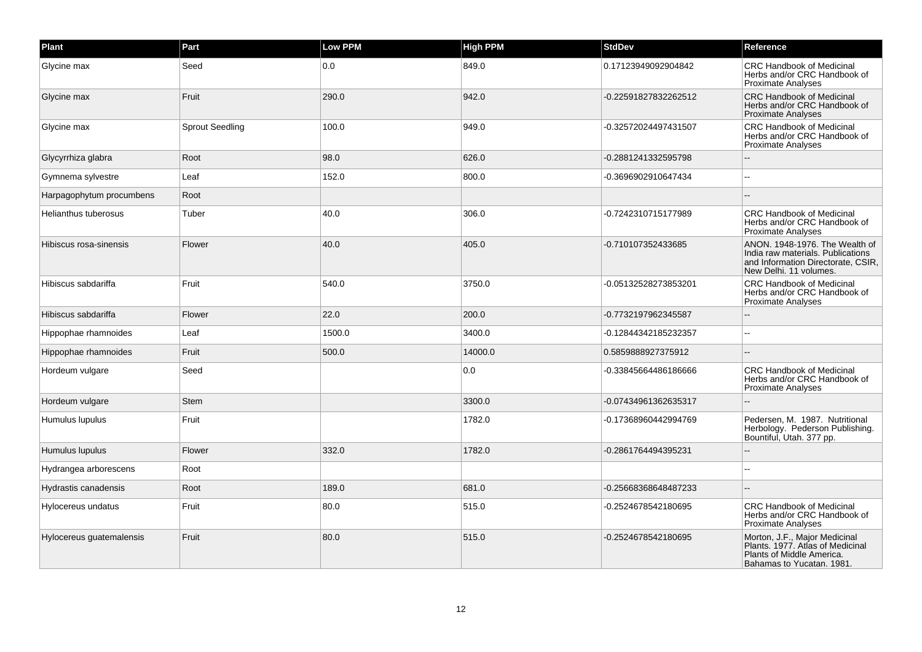| Plant                    | Part                   | Low PPM | <b>High PPM</b> | <b>StdDev</b>        | Reference                                                                                                                           |
|--------------------------|------------------------|---------|-----------------|----------------------|-------------------------------------------------------------------------------------------------------------------------------------|
| Glycine max              | Seed                   | 0.0     | 849.0           | 0.17123949092904842  | <b>CRC Handbook of Medicinal</b><br>Herbs and/or CRC Handbook of<br><b>Proximate Analyses</b>                                       |
| Glycine max              | Fruit                  | 290.0   | 942.0           | -0.22591827832262512 | <b>CRC Handbook of Medicinal</b><br>Herbs and/or CRC Handbook of<br><b>Proximate Analyses</b>                                       |
| Glycine max              | <b>Sprout Seedling</b> | 100.0   | 949.0           | -0.32572024497431507 | CRC Handbook of Medicinal<br>Herbs and/or CRC Handbook of<br><b>Proximate Analyses</b>                                              |
| Glycyrrhiza glabra       | Root                   | 98.0    | 626.0           | -0.2881241332595798  |                                                                                                                                     |
| Gymnema sylvestre        | Leaf                   | 152.0   | 800.0           | -0.3696902910647434  |                                                                                                                                     |
| Harpagophytum procumbens | Root                   |         |                 |                      |                                                                                                                                     |
| Helianthus tuberosus     | Tuber                  | 40.0    | 306.0           | -0.7242310715177989  | <b>CRC Handbook of Medicinal</b><br>Herbs and/or CRC Handbook of<br><b>Proximate Analyses</b>                                       |
| Hibiscus rosa-sinensis   | Flower                 | 40.0    | 405.0           | -0.710107352433685   | ANON. 1948-1976. The Wealth of<br>India raw materials. Publications<br>and Information Directorate, CSIR,<br>New Delhi, 11 volumes. |
| Hibiscus sabdariffa      | Fruit                  | 540.0   | 3750.0          | -0.05132528273853201 | <b>CRC Handbook of Medicinal</b><br>Herbs and/or CRC Handbook of<br><b>Proximate Analyses</b>                                       |
| Hibiscus sabdariffa      | Flower                 | 22.0    | 200.0           | -0.7732197962345587  |                                                                                                                                     |
| Hippophae rhamnoides     | Leaf                   | 1500.0  | 3400.0          | -0.12844342185232357 |                                                                                                                                     |
| Hippophae rhamnoides     | Fruit                  | 500.0   | 14000.0         | 0.5859888927375912   |                                                                                                                                     |
| Hordeum vulgare          | Seed                   |         | 0.0             | -0.33845664486186666 | <b>CRC Handbook of Medicinal</b><br>Herbs and/or CRC Handbook of<br>Proximate Analyses                                              |
| Hordeum vulgare          | <b>Stem</b>            |         | 3300.0          | -0.07434961362635317 |                                                                                                                                     |
| Humulus lupulus          | Fruit                  |         | 1782.0          | -0.17368960442994769 | Pedersen, M. 1987. Nutritional<br>Herbology. Pederson Publishing.<br>Bountiful, Utah. 377 pp.                                       |
| Humulus lupulus          | Flower                 | 332.0   | 1782.0          | -0.2861764494395231  |                                                                                                                                     |
| Hydrangea arborescens    | Root                   |         |                 |                      |                                                                                                                                     |
| Hydrastis canadensis     | Root                   | 189.0   | 681.0           | -0.25668368648487233 |                                                                                                                                     |
| Hylocereus undatus       | Fruit                  | 80.0    | 515.0           | -0.2524678542180695  | <b>CRC Handbook of Medicinal</b><br>Herbs and/or CRC Handbook of<br><b>Proximate Analyses</b>                                       |
| Hylocereus guatemalensis | Fruit                  | 80.0    | 515.0           | -0.2524678542180695  | Morton, J.F., Major Medicinal<br>Plants. 1977. Atlas of Medicinal<br>Plants of Middle America.<br>Bahamas to Yucatan. 1981.         |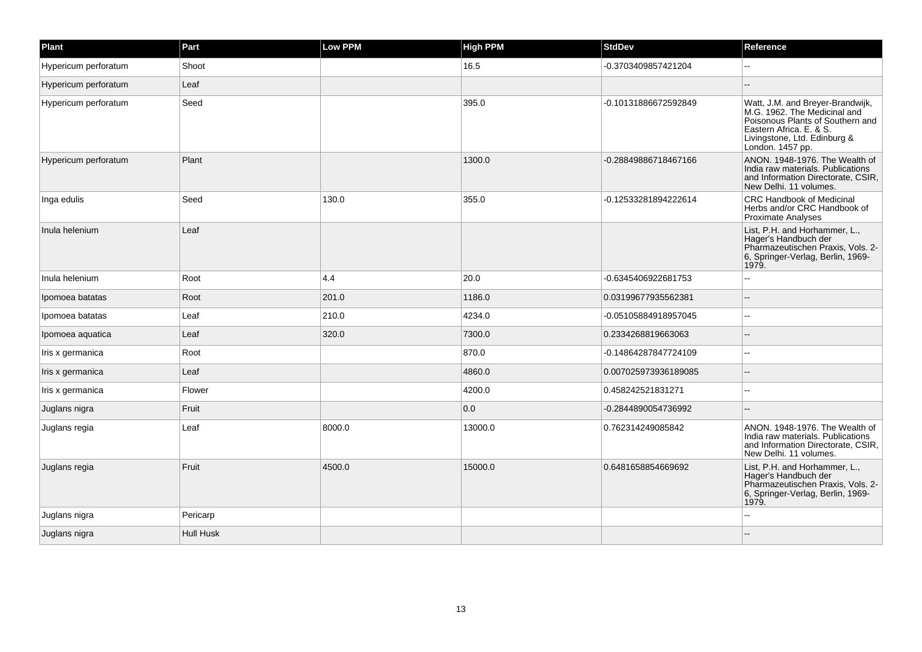| Plant                | Part             | <b>Low PPM</b> | <b>High PPM</b> | <b>StdDev</b>        | Reference                                                                                                                                                                           |
|----------------------|------------------|----------------|-----------------|----------------------|-------------------------------------------------------------------------------------------------------------------------------------------------------------------------------------|
| Hypericum perforatum | Shoot            |                | 16.5            | -0.3703409857421204  |                                                                                                                                                                                     |
| Hypericum perforatum | Leaf             |                |                 |                      |                                                                                                                                                                                     |
| Hypericum perforatum | Seed             |                | 395.0           | -0.10131886672592849 | Watt, J.M. and Breyer-Brandwijk,<br>M.G. 1962. The Medicinal and<br>Poisonous Plants of Southern and<br>Eastern Africa. E. & S.<br>Livingstone, Ltd. Edinburg &<br>London. 1457 pp. |
| Hypericum perforatum | Plant            |                | 1300.0          | -0.28849886718467166 | ANON, 1948-1976. The Wealth of<br>India raw materials. Publications<br>and Information Directorate, CSIR,<br>New Delhi. 11 volumes.                                                 |
| Inga edulis          | Seed             | 130.0          | 355.0           | -0.12533281894222614 | <b>CRC Handbook of Medicinal</b><br>Herbs and/or CRC Handbook of<br>Proximate Analyses                                                                                              |
| Inula helenium       | Leaf             |                |                 |                      | List, P.H. and Horhammer, L.,<br>Hager's Handbuch der<br>Pharmazeutischen Praxis, Vols. 2-<br>6, Springer-Verlag, Berlin, 1969-<br>1979.                                            |
| Inula helenium       | Root             | 4.4            | 20.0            | -0.6345406922681753  |                                                                                                                                                                                     |
| Ipomoea batatas      | Root             | 201.0          | 1186.0          | 0.03199677935562381  | --                                                                                                                                                                                  |
| Ipomoea batatas      | Leaf             | 210.0          | 4234.0          | -0.05105884918957045 |                                                                                                                                                                                     |
| Ipomoea aquatica     | Leaf             | 320.0          | 7300.0          | 0.2334268819663063   |                                                                                                                                                                                     |
| Iris x germanica     | Root             |                | 870.0           | -0.14864287847724109 | $\overline{\phantom{a}}$                                                                                                                                                            |
| Iris x germanica     | Leaf             |                | 4860.0          | 0.007025973936189085 |                                                                                                                                                                                     |
| Iris x germanica     | Flower           |                | 4200.0          | 0.458242521831271    | --                                                                                                                                                                                  |
| Juglans nigra        | Fruit            |                | 0.0             | -0.2844890054736992  |                                                                                                                                                                                     |
| Juglans regia        | Leaf             | 8000.0         | 13000.0         | 0.762314249085842    | ANON, 1948-1976. The Wealth of<br>India raw materials. Publications<br>and Information Directorate, CSIR,<br>New Delhi, 11 volumes.                                                 |
| Juglans regia        | Fruit            | 4500.0         | 15000.0         | 0.6481658854669692   | List, P.H. and Horhammer, L.,<br>Hager's Handbuch der<br>Pharmazeutischen Praxis, Vols. 2-<br>6, Springer-Verlag, Berlin, 1969-<br>1979.                                            |
| Juglans nigra        | Pericarp         |                |                 |                      |                                                                                                                                                                                     |
| Juglans nigra        | <b>Hull Husk</b> |                |                 |                      |                                                                                                                                                                                     |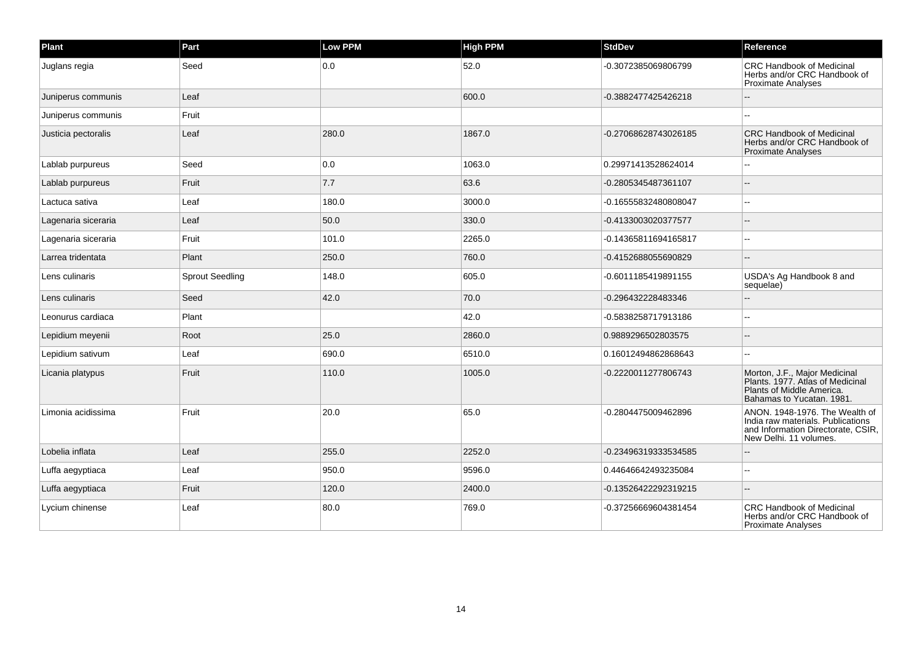| Plant               | Part                   | <b>Low PPM</b> | <b>High PPM</b> | <b>StdDev</b>        | Reference                                                                                                                           |
|---------------------|------------------------|----------------|-----------------|----------------------|-------------------------------------------------------------------------------------------------------------------------------------|
| Juglans regia       | Seed                   | 0.0            | 52.0            | -0.3072385069806799  | <b>CRC Handbook of Medicinal</b><br>Herbs and/or CRC Handbook of<br><b>Proximate Analyses</b>                                       |
| Juniperus communis  | Leaf                   |                | 600.0           | -0.3882477425426218  |                                                                                                                                     |
| Juniperus communis  | Fruit                  |                |                 |                      |                                                                                                                                     |
| Justicia pectoralis | Leaf                   | 280.0          | 1867.0          | -0.27068628743026185 | <b>CRC Handbook of Medicinal</b><br>Herbs and/or CRC Handbook of<br><b>Proximate Analyses</b>                                       |
| Lablab purpureus    | Seed                   | 0.0            | 1063.0          | 0.29971413528624014  |                                                                                                                                     |
| Lablab purpureus    | Fruit                  | 7.7            | 63.6            | -0.2805345487361107  |                                                                                                                                     |
| Lactuca sativa      | Leaf                   | 180.0          | 3000.0          | -0.16555832480808047 |                                                                                                                                     |
| Lagenaria siceraria | Leaf                   | 50.0           | 330.0           | -0.4133003020377577  |                                                                                                                                     |
| Lagenaria siceraria | Fruit                  | 101.0          | 2265.0          | -0.14365811694165817 | --                                                                                                                                  |
| Larrea tridentata   | Plant                  | 250.0          | 760.0           | -0.4152688055690829  |                                                                                                                                     |
| Lens culinaris      | <b>Sprout Seedling</b> | 148.0          | 605.0           | -0.6011185419891155  | USDA's Ag Handbook 8 and<br>sequelae)                                                                                               |
| Lens culinaris      | Seed                   | 42.0           | 70.0            | -0.296432228483346   |                                                                                                                                     |
| Leonurus cardiaca   | Plant                  |                | 42.0            | -0.5838258717913186  |                                                                                                                                     |
| Lepidium meyenii    | Root                   | 25.0           | 2860.0          | 0.9889296502803575   |                                                                                                                                     |
| Lepidium sativum    | Leaf                   | 690.0          | 6510.0          | 0.16012494862868643  |                                                                                                                                     |
| Licania platypus    | Fruit                  | 110.0          | 1005.0          | -0.2220011277806743  | Morton, J.F., Major Medicinal<br>Plants. 1977. Atlas of Medicinal<br>Plants of Middle America.<br>Bahamas to Yucatan. 1981.         |
| Limonia acidissima  | Fruit                  | 20.0           | 65.0            | -0.2804475009462896  | ANON, 1948-1976. The Wealth of<br>India raw materials. Publications<br>and Information Directorate, CSIR,<br>New Delhi, 11 volumes. |
| Lobelia inflata     | Leaf                   | 255.0          | 2252.0          | -0.23496319333534585 |                                                                                                                                     |
| Luffa aegyptiaca    | Leaf                   | 950.0          | 9596.0          | 0.44646642493235084  |                                                                                                                                     |
| Luffa aegyptiaca    | Fruit                  | 120.0          | 2400.0          | -0.13526422292319215 |                                                                                                                                     |
| Lycium chinense     | Leaf                   | 80.0           | 769.0           | -0.37256669604381454 | <b>CRC Handbook of Medicinal</b><br>Herbs and/or CRC Handbook of<br><b>Proximate Analyses</b>                                       |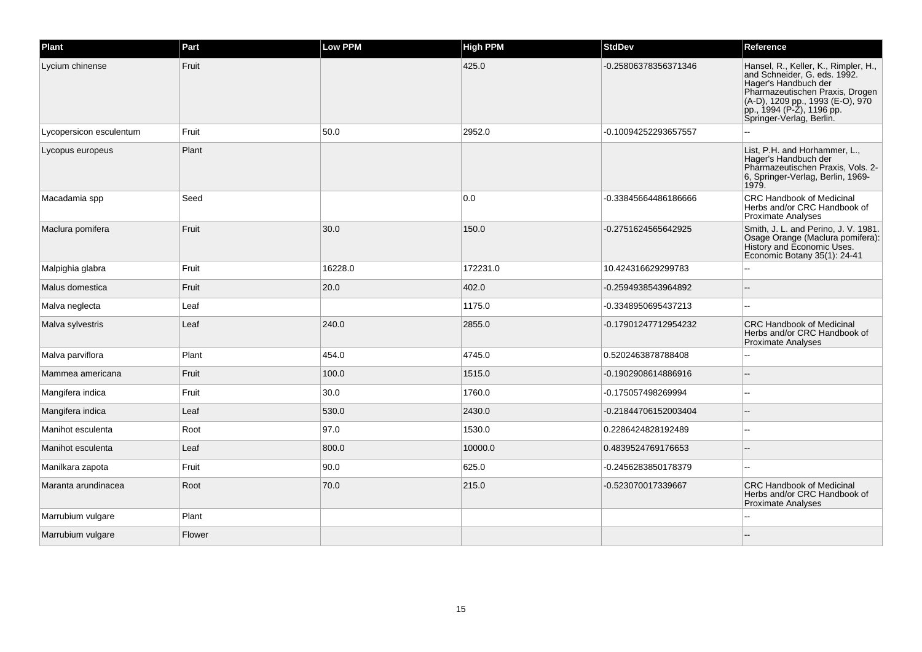| Plant                   | Part   | <b>Low PPM</b> | <b>High PPM</b> | <b>StdDev</b>        | Reference                                                                                                                                                                                                                    |
|-------------------------|--------|----------------|-----------------|----------------------|------------------------------------------------------------------------------------------------------------------------------------------------------------------------------------------------------------------------------|
| Lycium chinense         | Fruit  |                | 425.0           | -0.25806378356371346 | Hansel, R., Keller, K., Rimpler, H.,<br>and Schneider, G. eds. 1992.<br>Hager's Handbuch der<br>Pharmazeutischen Praxis, Drogen<br>(A-D), 1209 pp., 1993 (E-O), 970<br>pp., 1994 (P-Z), 1196 pp.<br>Springer-Verlag, Berlin. |
| Lycopersicon esculentum | Fruit  | 50.0           | 2952.0          | -0.10094252293657557 |                                                                                                                                                                                                                              |
| Lycopus europeus        | Plant  |                |                 |                      | List, P.H. and Horhammer, L.,<br>Hager's Handbuch der<br>Pharmazeutischen Praxis, Vols. 2-<br>6, Springer-Verlag, Berlin, 1969-<br>1979.                                                                                     |
| Macadamia spp           | Seed   |                | 0.0             | -0.33845664486186666 | <b>CRC Handbook of Medicinal</b><br>Herbs and/or CRC Handbook of<br>Proximate Analyses                                                                                                                                       |
| Maclura pomifera        | Fruit  | 30.0           | 150.0           | -0.2751624565642925  | Smith, J. L. and Perino, J. V. 1981.<br>Osage Orange (Maclura pomifera):<br>History and Economic Uses.<br>Economic Botany 35(1): 24-41                                                                                       |
| Malpighia glabra        | Fruit  | 16228.0        | 172231.0        | 10.424316629299783   | --                                                                                                                                                                                                                           |
| Malus domestica         | Fruit  | 20.0           | 402.0           | -0.2594938543964892  |                                                                                                                                                                                                                              |
| Malva neglecta          | Leaf   |                | 1175.0          | -0.3348950695437213  | $\overline{a}$                                                                                                                                                                                                               |
| Malva sylvestris        | Leaf   | 240.0          | 2855.0          | -0.17901247712954232 | <b>CRC Handbook of Medicinal</b><br>Herbs and/or CRC Handbook of<br><b>Proximate Analyses</b>                                                                                                                                |
| Malva parviflora        | Plant  | 454.0          | 4745.0          | 0.5202463878788408   |                                                                                                                                                                                                                              |
| Mammea americana        | Fruit  | 100.0          | 1515.0          | -0.1902908614886916  |                                                                                                                                                                                                                              |
| Mangifera indica        | Fruit  | 30.0           | 1760.0          | -0.175057498269994   |                                                                                                                                                                                                                              |
| Mangifera indica        | Leaf   | 530.0          | 2430.0          | -0.21844706152003404 |                                                                                                                                                                                                                              |
| Manihot esculenta       | Root   | 97.0           | 1530.0          | 0.2286424828192489   |                                                                                                                                                                                                                              |
| Manihot esculenta       | Leaf   | 800.0          | 10000.0         | 0.4839524769176653   |                                                                                                                                                                                                                              |
| Manilkara zapota        | Fruit  | 90.0           | 625.0           | -0.2456283850178379  |                                                                                                                                                                                                                              |
| Maranta arundinacea     | Root   | 70.0           | 215.0           | -0.523070017339667   | <b>CRC Handbook of Medicinal</b><br>Herbs and/or CRC Handbook of<br><b>Proximate Analyses</b>                                                                                                                                |
| Marrubium vulgare       | Plant  |                |                 |                      |                                                                                                                                                                                                                              |
| Marrubium vulgare       | Flower |                |                 |                      |                                                                                                                                                                                                                              |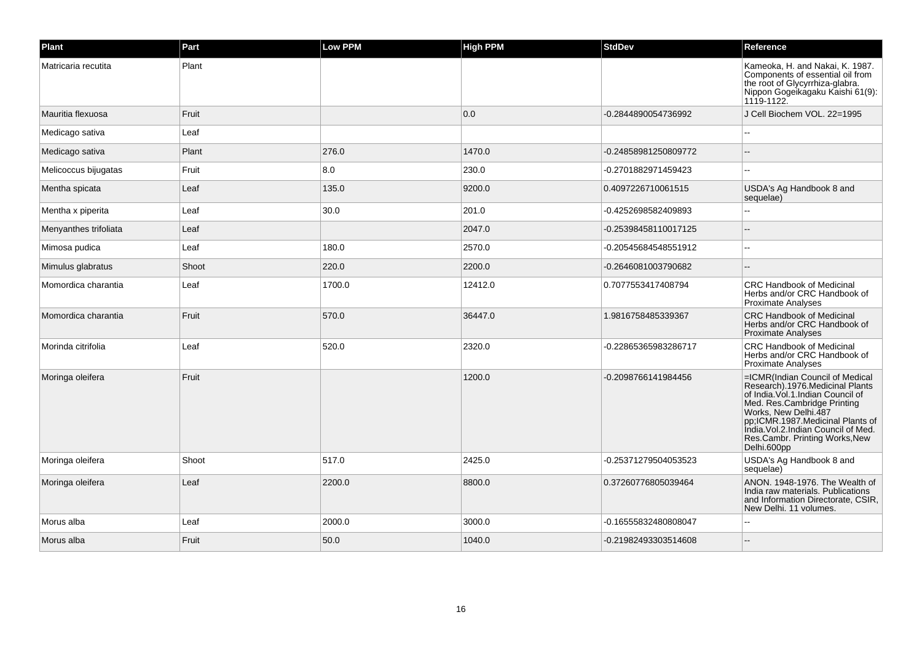| Plant                 | Part  | Low PPM | <b>High PPM</b> | StdDev               | Reference                                                                                                                                                                                                                                                                                     |
|-----------------------|-------|---------|-----------------|----------------------|-----------------------------------------------------------------------------------------------------------------------------------------------------------------------------------------------------------------------------------------------------------------------------------------------|
| Matricaria recutita   | Plant |         |                 |                      | Kameoka, H. and Nakai, K. 1987.<br>Components of essential oil from<br>the root of Glycyrrhiza-glabra.<br>Nippon Gogeikagaku Kaishi 61(9):<br>1119-1122.                                                                                                                                      |
| Mauritia flexuosa     | Fruit |         | 0.0             | -0.2844890054736992  | J Cell Biochem VOL, 22=1995                                                                                                                                                                                                                                                                   |
| Medicago sativa       | Leaf  |         |                 |                      |                                                                                                                                                                                                                                                                                               |
| Medicago sativa       | Plant | 276.0   | 1470.0          | -0.24858981250809772 |                                                                                                                                                                                                                                                                                               |
| Melicoccus bijugatas  | Fruit | 8.0     | 230.0           | -0.2701882971459423  |                                                                                                                                                                                                                                                                                               |
| Mentha spicata        | Leaf  | 135.0   | 9200.0          | 0.4097226710061515   | USDA's Ag Handbook 8 and<br>sequelae)                                                                                                                                                                                                                                                         |
| Mentha x piperita     | Leaf  | 30.0    | 201.0           | -0.4252698582409893  | ÷.                                                                                                                                                                                                                                                                                            |
| Menyanthes trifoliata | Leaf  |         | 2047.0          | -0.25398458110017125 |                                                                                                                                                                                                                                                                                               |
| Mimosa pudica         | Leaf  | 180.0   | 2570.0          | 0.20545684548551912  | --                                                                                                                                                                                                                                                                                            |
| Mimulus glabratus     | Shoot | 220.0   | 2200.0          | -0.2646081003790682  |                                                                                                                                                                                                                                                                                               |
| Momordica charantia   | Leaf  | 1700.0  | 12412.0         | 0.7077553417408794   | <b>CRC Handbook of Medicinal</b><br>Herbs and/or CRC Handbook of<br><b>Proximate Analyses</b>                                                                                                                                                                                                 |
| Momordica charantia   | Fruit | 570.0   | 36447.0         | 1.9816758485339367   | <b>CRC Handbook of Medicinal</b><br>Herbs and/or CRC Handbook of<br><b>Proximate Analyses</b>                                                                                                                                                                                                 |
| Morinda citrifolia    | Leaf  | 520.0   | 2320.0          | -0.22865365983286717 | <b>CRC Handbook of Medicinal</b><br>Herbs and/or CRC Handbook of<br><b>Proximate Analyses</b>                                                                                                                                                                                                 |
| Moringa oleifera      | Fruit |         | 1200.0          | -0.2098766141984456  | =ICMR(Indian Council of Medical<br>Research).1976.Medicinal Plants<br>of India. Vol. 1. Indian Council of<br>Med. Res.Cambridge Printing<br>Works, New Delhi.487<br>pp;ICMR.1987.Medicinal Plants of<br>India. Vol.2. Indian Council of Med.<br>Res.Cambr. Printing Works, New<br>Delhi.600pp |
| Moringa oleifera      | Shoot | 517.0   | 2425.0          | -0.25371279504053523 | USDA's Ag Handbook 8 and<br>sequelae)                                                                                                                                                                                                                                                         |
| Moringa oleifera      | Leaf  | 2200.0  | 8800.0          | 0.37260776805039464  | ANON, 1948-1976. The Wealth of<br>India raw materials. Publications<br>and Information Directorate, CSIR,<br>New Delhi. 11 volumes.                                                                                                                                                           |
| Morus alba            | Leaf  | 2000.0  | 3000.0          | -0.16555832480808047 |                                                                                                                                                                                                                                                                                               |
| Morus alba            | Fruit | 50.0    | 1040.0          | -0.21982493303514608 |                                                                                                                                                                                                                                                                                               |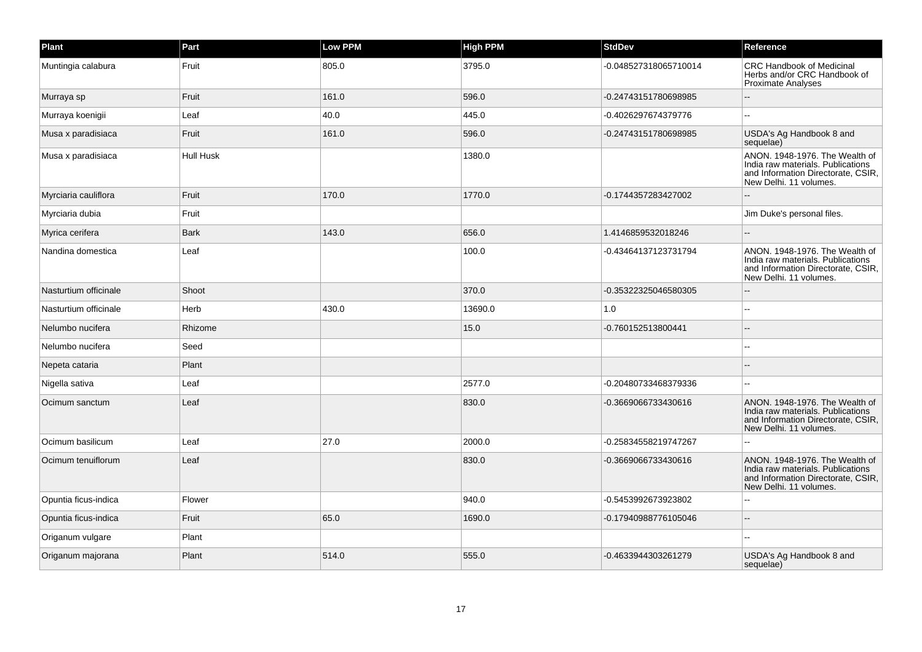| Plant                 | Part        | Low PPM | <b>High PPM</b> | <b>StdDev</b>         | Reference                                                                                                                           |
|-----------------------|-------------|---------|-----------------|-----------------------|-------------------------------------------------------------------------------------------------------------------------------------|
| Muntingia calabura    | Fruit       | 805.0   | 3795.0          | -0.048527318065710014 | <b>CRC Handbook of Medicinal</b><br>Herbs and/or CRC Handbook of<br><b>Proximate Analyses</b>                                       |
| Murraya sp            | Fruit       | 161.0   | 596.0           | -0.24743151780698985  |                                                                                                                                     |
| Murraya koenigii      | Leaf        | 40.0    | 445.0           | -0.4026297674379776   |                                                                                                                                     |
| Musa x paradisiaca    | Fruit       | 161.0   | 596.0           | -0.24743151780698985  | USDA's Ag Handbook 8 and<br>sequelae)                                                                                               |
| Musa x paradisiaca    | Hull Husk   |         | 1380.0          |                       | ANON. 1948-1976. The Wealth of<br>India raw materials. Publications<br>and Information Directorate, CSIR,<br>New Delhi, 11 volumes. |
| Myrciaria cauliflora  | Fruit       | 170.0   | 1770.0          | -0.1744357283427002   |                                                                                                                                     |
| Myrciaria dubia       | Fruit       |         |                 |                       | Jim Duke's personal files.                                                                                                          |
| Myrica cerifera       | <b>Bark</b> | 143.0   | 656.0           | 1.4146859532018246    |                                                                                                                                     |
| Nandina domestica     | Leaf        |         | 100.0           | -0.43464137123731794  | ANON, 1948-1976. The Wealth of<br>India raw materials. Publications<br>and Information Directorate, CSIR,<br>New Delhi. 11 volumes. |
| Nasturtium officinale | Shoot       |         | 370.0           | -0.35322325046580305  |                                                                                                                                     |
| Nasturtium officinale | Herb        | 430.0   | 13690.0         | 1.0                   |                                                                                                                                     |
| Nelumbo nucifera      | Rhizome     |         | 15.0            | -0.760152513800441    |                                                                                                                                     |
| Nelumbo nucifera      | Seed        |         |                 |                       |                                                                                                                                     |
| Nepeta cataria        | Plant       |         |                 |                       |                                                                                                                                     |
| Nigella sativa        | Leaf        |         | 2577.0          | -0.20480733468379336  | $\overline{a}$                                                                                                                      |
| Ocimum sanctum        | Leaf        |         | 830.0           | -0.3669066733430616   | ANON. 1948-1976. The Wealth of<br>India raw materials. Publications<br>and Information Directorate, CSIR,<br>New Delhi. 11 volumes. |
| Ocimum basilicum      | Leaf        | 27.0    | 2000.0          | -0.25834558219747267  |                                                                                                                                     |
| Ocimum tenuiflorum    | Leaf        |         | 830.0           | -0.3669066733430616   | ANON. 1948-1976. The Wealth of<br>India raw materials. Publications<br>and Information Directorate, CSIR,<br>New Delhi, 11 volumes. |
| Opuntia ficus-indica  | Flower      |         | 940.0           | -0.5453992673923802   |                                                                                                                                     |
| Opuntia ficus-indica  | Fruit       | 65.0    | 1690.0          | -0.17940988776105046  | $\sim$                                                                                                                              |
| Origanum vulgare      | Plant       |         |                 |                       |                                                                                                                                     |
| Origanum majorana     | Plant       | 514.0   | 555.0           | -0.4633944303261279   | USDA's Ag Handbook 8 and<br>sequelae)                                                                                               |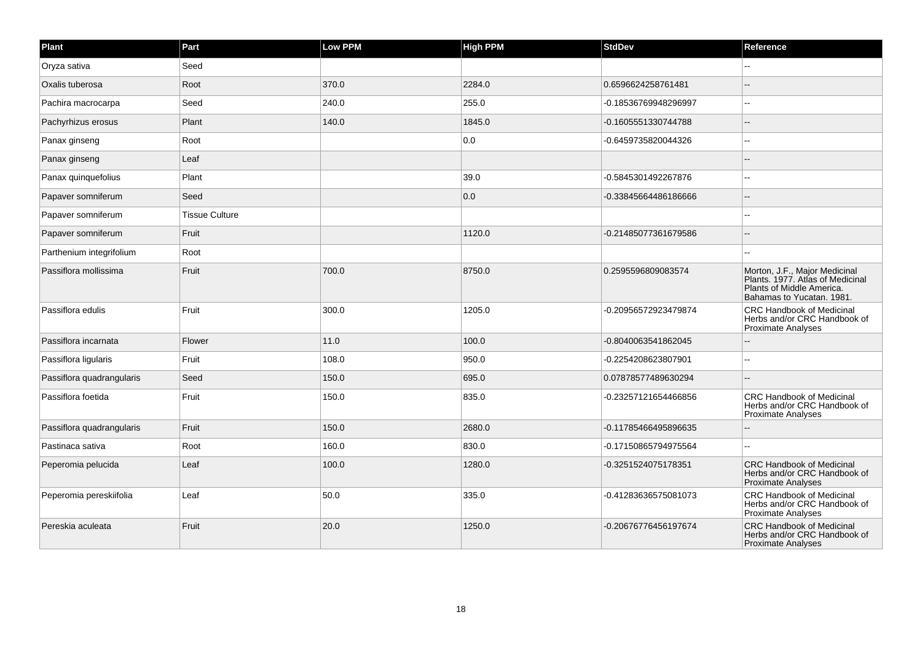| Plant                     | Part                  | <b>Low PPM</b> | <b>High PPM</b> | <b>StdDev</b>        | Reference                                                                                                                   |
|---------------------------|-----------------------|----------------|-----------------|----------------------|-----------------------------------------------------------------------------------------------------------------------------|
| Oryza sativa              | Seed                  |                |                 |                      | $\sim$                                                                                                                      |
| Oxalis tuberosa           | Root                  | 370.0          | 2284.0          | 0.6596624258761481   |                                                                                                                             |
| Pachira macrocarpa        | Seed                  | 240.0          | 255.0           | -0.18536769948296997 | $-$                                                                                                                         |
| Pachyrhizus erosus        | Plant                 | 140.0          | 1845.0          | -0.1605551330744788  |                                                                                                                             |
| Panax ginseng             | Root                  |                | 0.0             | -0.6459735820044326  |                                                                                                                             |
| Panax ginseng             | Leaf                  |                |                 |                      |                                                                                                                             |
| Panax quinquefolius       | Plant                 |                | 39.0            | -0.5845301492267876  |                                                                                                                             |
| Papaver somniferum        | Seed                  |                | 0.0             | -0.33845664486186666 |                                                                                                                             |
| Papaver somniferum        | <b>Tissue Culture</b> |                |                 |                      |                                                                                                                             |
| Papaver somniferum        | Fruit                 |                | 1120.0          | -0.21485077361679586 | $\sim$                                                                                                                      |
| Parthenium integrifolium  | Root                  |                |                 |                      | ۵.                                                                                                                          |
| Passiflora mollissima     | Fruit                 | 700.0          | 8750.0          | 0.2595596809083574   | Morton, J.F., Major Medicinal<br>Plants. 1977. Atlas of Medicinal<br>Plants of Middle America.<br>Bahamas to Yucatan. 1981. |
| Passiflora edulis         | Fruit                 | 300.0          | 1205.0          | -0.20956572923479874 | <b>CRC Handbook of Medicinal</b><br>Herbs and/or CRC Handbook of<br>Proximate Analyses                                      |
| Passiflora incarnata      | Flower                | 11.0           | 100.0           | -0.8040063541862045  | --                                                                                                                          |
| Passiflora ligularis      | Fruit                 | 108.0          | 950.0           | -0.2254208623807901  |                                                                                                                             |
| Passiflora quadrangularis | Seed                  | 150.0          | 695.0           | 0.07878577489630294  |                                                                                                                             |
| Passiflora foetida        | Fruit                 | 150.0          | 835.0           | -0.23257121654466856 | <b>CRC Handbook of Medicinal</b><br>Herbs and/or CRC Handbook of<br><b>Proximate Analyses</b>                               |
| Passiflora quadrangularis | Fruit                 | 150.0          | 2680.0          | -0.11785466495896635 |                                                                                                                             |
| Pastinaca sativa          | Root                  | 160.0          | 830.0           | -0.17150865794975564 | $\overline{a}$                                                                                                              |
| Peperomia pelucida        | Leaf                  | 100.0          | 1280.0          | -0.3251524075178351  | <b>CRC Handbook of Medicinal</b><br>Herbs and/or CRC Handbook of<br>Proximate Analyses                                      |
| Peperomia pereskiifolia   | Leaf                  | 50.0           | 335.0           | -0.41283636575081073 | <b>CRC Handbook of Medicinal</b><br>Herbs and/or CRC Handbook of<br>Proximate Analyses                                      |
| Pereskia aculeata         | Fruit                 | 20.0           | 1250.0          | -0.20676776456197674 | <b>CRC Handbook of Medicinal</b><br>Herbs and/or CRC Handbook of<br><b>Proximate Analyses</b>                               |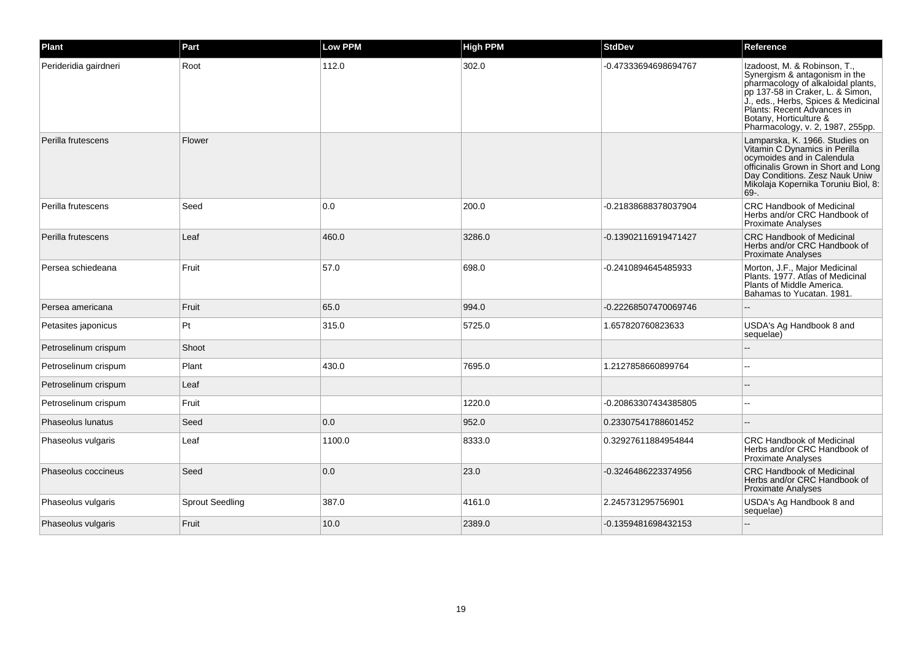| Plant                 | Part                   | <b>Low PPM</b> | <b>High PPM</b> | <b>StdDev</b>        | Reference                                                                                                                                                                                                                                                                  |
|-----------------------|------------------------|----------------|-----------------|----------------------|----------------------------------------------------------------------------------------------------------------------------------------------------------------------------------------------------------------------------------------------------------------------------|
| Perideridia gairdneri | Root                   | 112.0          | 302.0           | -0.47333694698694767 | Izadoost, M. & Robinson, T.,<br>Synergism & antagonism in the<br>pharmacology of alkaloidal plants,<br>pp 137-58 in Craker, L. & Simon,<br>J., eds., Herbs, Spices & Medicinal<br>Plants: Recent Advances in<br>Botany, Horticulture &<br>Pharmacology, v. 2, 1987, 255pp. |
| Perilla frutescens    | Flower                 |                |                 |                      | Lamparska, K. 1966. Studies on<br>Vitamin C Dynamics in Perilla<br>ocymoides and in Calendula<br>officinalis Grown in Short and Long<br>Day Conditions. Zesz Nauk Uniw<br>Mikolaja Kopernika Toruniu Biol, 8:<br>69-.                                                      |
| Perilla frutescens    | Seed                   | 0.0            | 200.0           | -0.21838688378037904 | <b>CRC Handbook of Medicinal</b><br>Herbs and/or CRC Handbook of<br>Proximate Analyses                                                                                                                                                                                     |
| Perilla frutescens    | Leaf                   | 460.0          | 3286.0          | -0.13902116919471427 | <b>CRC Handbook of Medicinal</b><br>Herbs and/or CRC Handbook of<br>Proximate Analyses                                                                                                                                                                                     |
| Persea schiedeana     | Fruit                  | 57.0           | 698.0           | -0.2410894645485933  | Morton, J.F., Major Medicinal<br>Plants. 1977. Atlas of Medicinal<br>Plants of Middle America.<br>Bahamas to Yucatan. 1981.                                                                                                                                                |
| Persea americana      | Fruit                  | 65.0           | 994.0           | -0.22268507470069746 |                                                                                                                                                                                                                                                                            |
| Petasites japonicus   | Pt                     | 315.0          | 5725.0          | 1.657820760823633    | USDA's Ag Handbook 8 and<br>sequelae)                                                                                                                                                                                                                                      |
| Petroselinum crispum  | Shoot                  |                |                 |                      |                                                                                                                                                                                                                                                                            |
| Petroselinum crispum  | Plant                  | 430.0          | 7695.0          | 1.2127858660899764   |                                                                                                                                                                                                                                                                            |
| Petroselinum crispum  | Leaf                   |                |                 |                      |                                                                                                                                                                                                                                                                            |
| Petroselinum crispum  | Fruit                  |                | 1220.0          | -0.20863307434385805 |                                                                                                                                                                                                                                                                            |
| Phaseolus lunatus     | Seed                   | 0.0            | 952.0           | 0.23307541788601452  |                                                                                                                                                                                                                                                                            |
| Phaseolus vulgaris    | Leaf                   | 1100.0         | 8333.0          | 0.32927611884954844  | <b>CRC Handbook of Medicinal</b><br>Herbs and/or CRC Handbook of<br>Proximate Analyses                                                                                                                                                                                     |
| Phaseolus coccineus   | Seed                   | 0.0            | 23.0            | -0.3246486223374956  | <b>CRC Handbook of Medicinal</b><br>Herbs and/or CRC Handbook of<br><b>Proximate Analyses</b>                                                                                                                                                                              |
| Phaseolus vulgaris    | <b>Sprout Seedling</b> | 387.0          | 4161.0          | 2.245731295756901    | USDA's Ag Handbook 8 and<br>sequelae)                                                                                                                                                                                                                                      |
| Phaseolus vulgaris    | Fruit                  | 10.0           | 2389.0          | -0.1359481698432153  |                                                                                                                                                                                                                                                                            |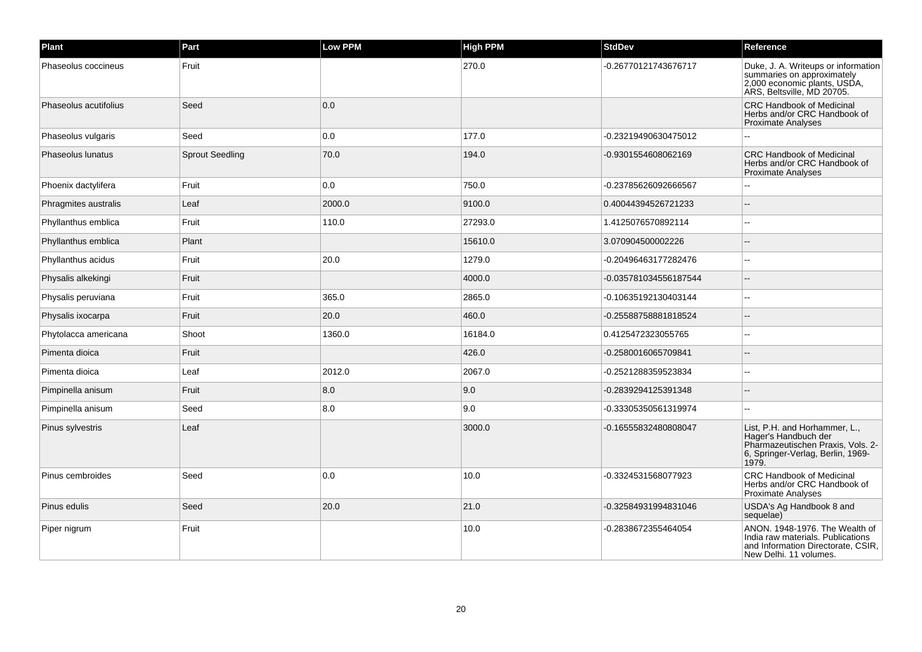| Plant                 | Part                   | Low PPM | <b>High PPM</b> | <b>StdDev</b>         | Reference                                                                                                                                |
|-----------------------|------------------------|---------|-----------------|-----------------------|------------------------------------------------------------------------------------------------------------------------------------------|
| Phaseolus coccineus   | Fruit                  |         | 270.0           | -0.26770121743676717  | Duke, J. A. Writeups or information<br>summaries on approximately<br>2,000 economic plants, USDA,<br>ARS, Beltsville, MD 20705.          |
| Phaseolus acutifolius | Seed                   | 0.0     |                 |                       | <b>CRC Handbook of Medicinal</b><br>Herbs and/or CRC Handbook of<br><b>Proximate Analyses</b>                                            |
| Phaseolus vulgaris    | Seed                   | 0.0     | 177.0           | -0.23219490630475012  |                                                                                                                                          |
| Phaseolus lunatus     | <b>Sprout Seedling</b> | 70.0    | 194.0           | -0.9301554608062169   | <b>CRC Handbook of Medicinal</b><br>Herbs and/or CRC Handbook of<br><b>Proximate Analyses</b>                                            |
| Phoenix dactylifera   | Fruit                  | 0.0     | 750.0           | -0.23785626092666567  |                                                                                                                                          |
| Phragmites australis  | Leaf                   | 2000.0  | 9100.0          | 0.40044394526721233   |                                                                                                                                          |
| Phyllanthus emblica   | Fruit                  | 110.0   | 27293.0         | 1.4125076570892114    |                                                                                                                                          |
| Phyllanthus emblica   | Plant                  |         | 15610.0         | 3.070904500002226     |                                                                                                                                          |
| Phyllanthus acidus    | Fruit                  | 20.0    | 1279.0          | -0.20496463177282476  |                                                                                                                                          |
| Physalis alkekingi    | Fruit                  |         | 4000.0          | -0.035781034556187544 |                                                                                                                                          |
| Physalis peruviana    | Fruit                  | 365.0   | 2865.0          | -0.10635192130403144  |                                                                                                                                          |
| Physalis ixocarpa     | Fruit                  | 20.0    | 460.0           | -0.25588758881818524  |                                                                                                                                          |
| Phytolacca americana  | Shoot                  | 1360.0  | 16184.0         | 0.4125472323055765    | --                                                                                                                                       |
| Pimenta dioica        | Fruit                  |         | 426.0           | -0.2580016065709841   |                                                                                                                                          |
| Pimenta dioica        | Leaf                   | 2012.0  | 2067.0          | -0.2521288359523834   |                                                                                                                                          |
| Pimpinella anisum     | Fruit                  | 8.0     | 9.0             | -0.2839294125391348   |                                                                                                                                          |
| Pimpinella anisum     | Seed                   | 8.0     | 9.0             | -0.33305350561319974  | $\sim$                                                                                                                                   |
| Pinus sylvestris      | Leaf                   |         | 3000.0          | -0.16555832480808047  | List, P.H. and Horhammer, L.,<br>Hager's Handbuch der<br>Pharmazeutischen Praxis, Vols. 2-<br>6, Springer-Verlag, Berlin, 1969-<br>1979. |
| Pinus cembroides      | Seed                   | 0.0     | 10.0            | -0.3324531568077923   | <b>CRC Handbook of Medicinal</b><br>Herbs and/or CRC Handbook of<br><b>Proximate Analyses</b>                                            |
| Pinus edulis          | Seed                   | 20.0    | 21.0            | -0.32584931994831046  | USDA's Ag Handbook 8 and<br>sequelae)                                                                                                    |
| Piper nigrum          | Fruit                  |         | 10.0            | -0.2838672355464054   | ANON. 1948-1976. The Wealth of<br>India raw materials. Publications<br>and Information Directorate, CSIR,<br>New Delhi. 11 volumes.      |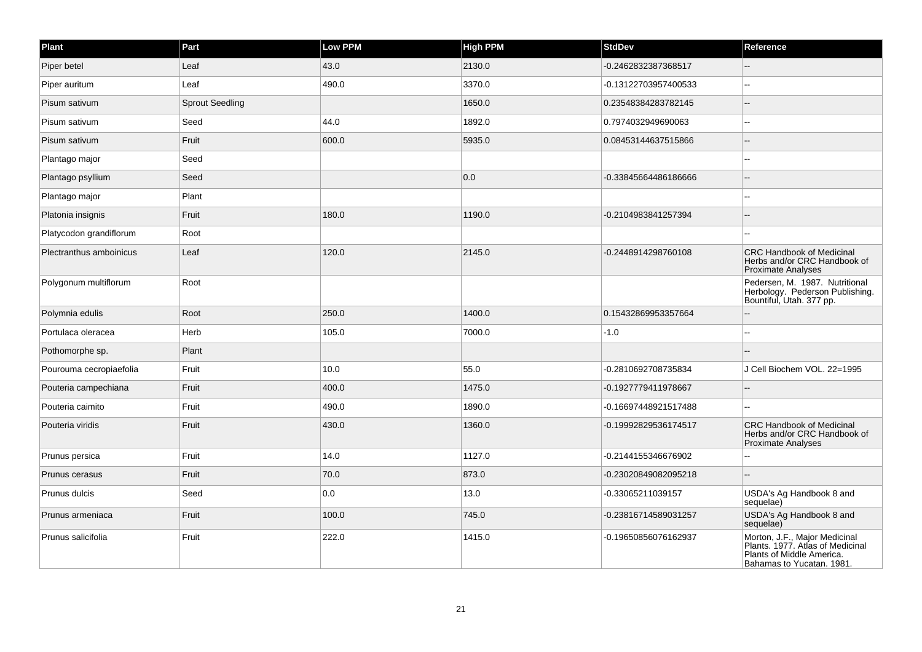| Plant                   | Part                   | Low PPM | <b>High PPM</b> | <b>StdDev</b>        | Reference                                                                                                                   |
|-------------------------|------------------------|---------|-----------------|----------------------|-----------------------------------------------------------------------------------------------------------------------------|
| Piper betel             | Leaf                   | 43.0    | 2130.0          | -0.2462832387368517  |                                                                                                                             |
| Piper auritum           | Leaf                   | 490.0   | 3370.0          | -0.13122703957400533 | $\overline{a}$                                                                                                              |
| Pisum sativum           | <b>Sprout Seedling</b> |         | 1650.0          | 0.23548384283782145  |                                                                                                                             |
| Pisum sativum           | Seed                   | 44.0    | 1892.0          | 0.7974032949690063   | $\overline{\phantom{a}}$                                                                                                    |
| Pisum sativum           | Fruit                  | 600.0   | 5935.0          | 0.08453144637515866  |                                                                                                                             |
| Plantago major          | Seed                   |         |                 |                      |                                                                                                                             |
| Plantago psyllium       | Seed                   |         | 0.0             | -0.33845664486186666 | $\overline{a}$                                                                                                              |
| Plantago major          | Plant                  |         |                 |                      | $\sim$                                                                                                                      |
| Platonia insignis       | Fruit                  | 180.0   | 1190.0          | -0.2104983841257394  |                                                                                                                             |
| Platycodon grandiflorum | Root                   |         |                 |                      |                                                                                                                             |
| Plectranthus amboinicus | Leaf                   | 120.0   | 2145.0          | -0.2448914298760108  | <b>CRC Handbook of Medicinal</b><br>Herbs and/or CRC Handbook of<br>Proximate Analyses                                      |
| Polygonum multiflorum   | Root                   |         |                 |                      | Pedersen, M. 1987. Nutritional<br>Herbology. Pederson Publishing.<br>Bountiful, Utah. 377 pp.                               |
| Polymnia edulis         | Root                   | 250.0   | 1400.0          | 0.15432869953357664  |                                                                                                                             |
| Portulaca oleracea      | Herb                   | 105.0   | 7000.0          | $-1.0$               |                                                                                                                             |
| Pothomorphe sp.         | Plant                  |         |                 |                      |                                                                                                                             |
| Pourouma cecropiaefolia | Fruit                  | 10.0    | 55.0            | -0.2810692708735834  | J Cell Biochem VOL. 22=1995                                                                                                 |
| Pouteria campechiana    | Fruit                  | 400.0   | 1475.0          | -0.1927779411978667  |                                                                                                                             |
| Pouteria caimito        | Fruit                  | 490.0   | 1890.0          | -0.16697448921517488 |                                                                                                                             |
| Pouteria viridis        | Fruit                  | 430.0   | 1360.0          | -0.19992829536174517 | <b>CRC Handbook of Medicinal</b><br>Herbs and/or CRC Handbook of<br><b>Proximate Analyses</b>                               |
| Prunus persica          | Fruit                  | 14.0    | 1127.0          | -0.2144155346676902  |                                                                                                                             |
| Prunus cerasus          | Fruit                  | 70.0    | 873.0           | -0.23020849082095218 |                                                                                                                             |
| Prunus dulcis           | Seed                   | 0.0     | 13.0            | -0.33065211039157    | USDA's Ag Handbook 8 and<br>sequelae)                                                                                       |
| Prunus armeniaca        | Fruit                  | 100.0   | 745.0           | -0.23816714589031257 | USDA's Ag Handbook 8 and<br>sequelae)                                                                                       |
| Prunus salicifolia      | Fruit                  | 222.0   | 1415.0          | -0.19650856076162937 | Morton, J.F., Major Medicinal<br>Plants. 1977. Atlas of Medicinal<br>Plants of Middle America.<br>Bahamas to Yucatan. 1981. |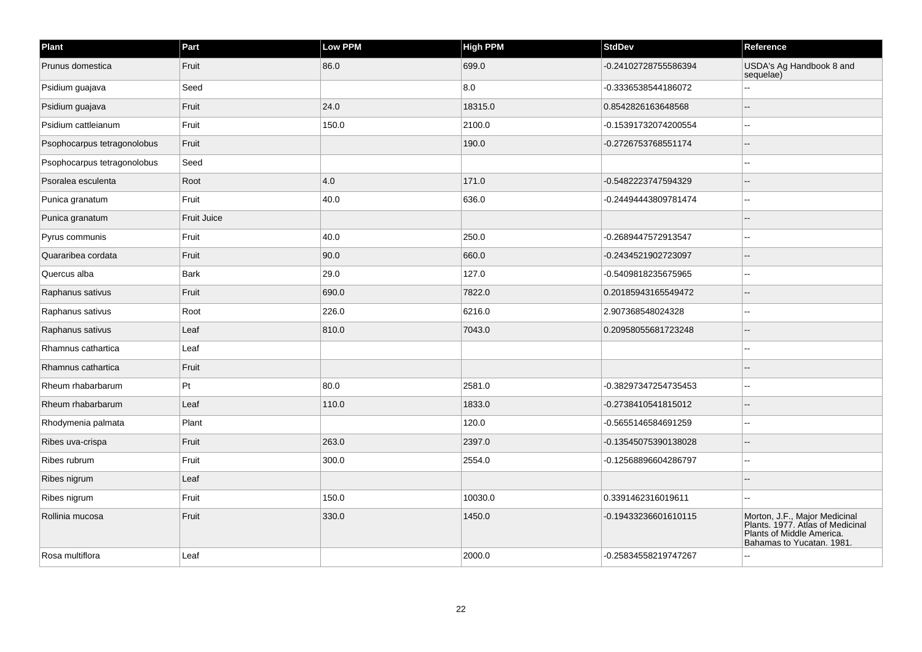| Plant                       | Part               | Low PPM | <b>High PPM</b> | <b>StdDev</b>        | Reference                                                                                                                   |
|-----------------------------|--------------------|---------|-----------------|----------------------|-----------------------------------------------------------------------------------------------------------------------------|
| Prunus domestica            | Fruit              | 86.0    | 699.0           | -0.24102728755586394 | USDA's Ag Handbook 8 and<br>sequelae)                                                                                       |
| Psidium guajava             | Seed               |         | 8.0             | -0.3336538544186072  |                                                                                                                             |
| Psidium guajava             | Fruit              | 24.0    | 18315.0         | 0.8542826163648568   |                                                                                                                             |
| Psidium cattleianum         | Fruit              | 150.0   | 2100.0          | -0.15391732074200554 | $\overline{\phantom{a}}$                                                                                                    |
| Psophocarpus tetragonolobus | Fruit              |         | 190.0           | -0.2726753768551174  |                                                                                                                             |
| Psophocarpus tetragonolobus | Seed               |         |                 |                      |                                                                                                                             |
| Psoralea esculenta          | Root               | 4.0     | 171.0           | -0.5482223747594329  |                                                                                                                             |
| Punica granatum             | Fruit              | 40.0    | 636.0           | -0.24494443809781474 |                                                                                                                             |
| Punica granatum             | <b>Fruit Juice</b> |         |                 |                      |                                                                                                                             |
| Pyrus communis              | Fruit              | 40.0    | 250.0           | -0.2689447572913547  |                                                                                                                             |
| Quararibea cordata          | Fruit              | 90.0    | 660.0           | -0.2434521902723097  |                                                                                                                             |
| Quercus alba                | Bark               | 29.0    | 127.0           | -0.5409818235675965  | --                                                                                                                          |
| Raphanus sativus            | Fruit              | 690.0   | 7822.0          | 0.20185943165549472  |                                                                                                                             |
| Raphanus sativus            | Root               | 226.0   | 6216.0          | 2.907368548024328    | $\overline{a}$                                                                                                              |
| Raphanus sativus            | Leaf               | 810.0   | 7043.0          | 0.20958055681723248  |                                                                                                                             |
| Rhamnus cathartica          | Leaf               |         |                 |                      | --                                                                                                                          |
| Rhamnus cathartica          | Fruit              |         |                 |                      |                                                                                                                             |
| Rheum rhabarbarum           | Pt                 | 80.0    | 2581.0          | -0.38297347254735453 | --                                                                                                                          |
| Rheum rhabarbarum           | Leaf               | 110.0   | 1833.0          | -0.2738410541815012  |                                                                                                                             |
| Rhodymenia palmata          | Plant              |         | 120.0           | -0.5655146584691259  | $\overline{\phantom{a}}$                                                                                                    |
| Ribes uva-crispa            | Fruit              | 263.0   | 2397.0          | -0.13545075390138028 | --                                                                                                                          |
| Ribes rubrum                | Fruit              | 300.0   | 2554.0          | -0.12568896604286797 | --                                                                                                                          |
| Ribes nigrum                | Leaf               |         |                 |                      |                                                                                                                             |
| Ribes nigrum                | Fruit              | 150.0   | 10030.0         | 0.3391462316019611   | $\overline{a}$                                                                                                              |
| Rollinia mucosa             | Fruit              | 330.0   | 1450.0          | -0.19433236601610115 | Morton, J.F., Major Medicinal<br>Plants. 1977. Atlas of Medicinal<br>Plants of Middle America.<br>Bahamas to Yucatan. 1981. |
| Rosa multiflora             | Leaf               |         | 2000.0          | -0.25834558219747267 |                                                                                                                             |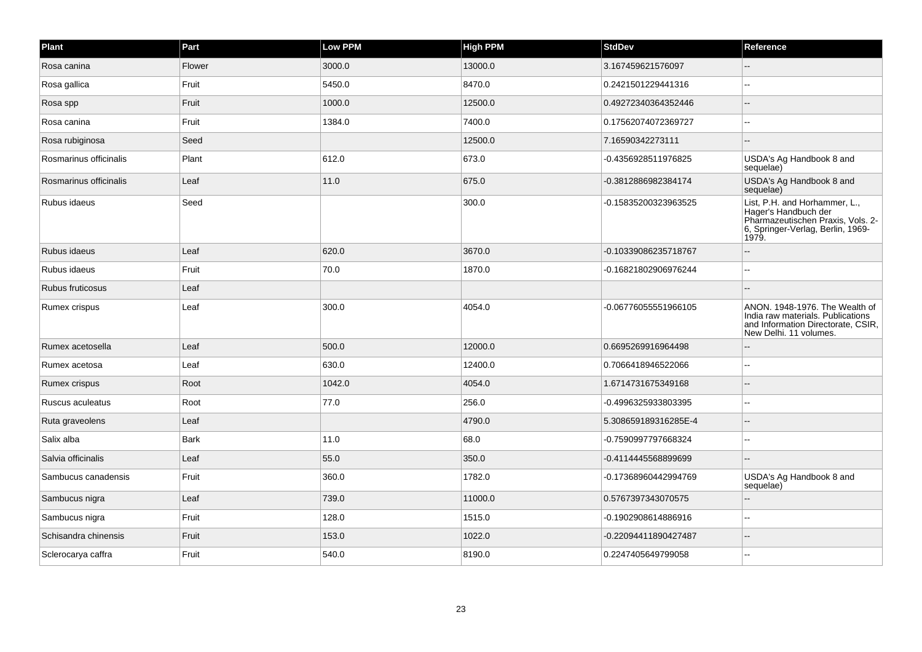| Plant                  | Part        | <b>Low PPM</b> | <b>High PPM</b> | <b>StdDev</b>        | Reference                                                                                                                                |
|------------------------|-------------|----------------|-----------------|----------------------|------------------------------------------------------------------------------------------------------------------------------------------|
| Rosa canina            | Flower      | 3000.0         | 13000.0         | 3.167459621576097    |                                                                                                                                          |
| Rosa gallica           | Fruit       | 5450.0         | 8470.0          | 0.2421501229441316   | --                                                                                                                                       |
| Rosa spp               | Fruit       | 1000.0         | 12500.0         | 0.49272340364352446  | --                                                                                                                                       |
| Rosa canina            | Fruit       | 1384.0         | 7400.0          | 0.17562074072369727  |                                                                                                                                          |
| Rosa rubiginosa        | Seed        |                | 12500.0         | 7.16590342273111     | $\sim$ $\sim$                                                                                                                            |
| Rosmarinus officinalis | Plant       | 612.0          | 673.0           | -0.4356928511976825  | USDA's Ag Handbook 8 and<br>sequelae)                                                                                                    |
| Rosmarinus officinalis | Leaf        | 11.0           | 675.0           | -0.3812886982384174  | USDA's Ag Handbook 8 and<br>sequelae)                                                                                                    |
| Rubus idaeus           | Seed        |                | 300.0           | -0.15835200323963525 | List, P.H. and Horhammer, L.,<br>Hager's Handbuch der<br>Pharmazeutischen Praxis, Vols. 2-<br>6, Springer-Verlag, Berlin, 1969-<br>1979. |
| Rubus idaeus           | Leaf        | 620.0          | 3670.0          | -0.10339086235718767 | --                                                                                                                                       |
| Rubus idaeus           | Fruit       | 70.0           | 1870.0          | -0.16821802906976244 |                                                                                                                                          |
| Rubus fruticosus       | Leaf        |                |                 |                      |                                                                                                                                          |
| Rumex crispus          | Leaf        | 300.0          | 4054.0          | -0.06776055551966105 | ANON. 1948-1976. The Wealth of<br>India raw materials. Publications<br>and Information Directorate, CSIR,<br>New Delhi. 11 volumes.      |
| Rumex acetosella       | Leaf        | 500.0          | 12000.0         | 0.6695269916964498   |                                                                                                                                          |
| Rumex acetosa          | Leaf        | 630.0          | 12400.0         | 0.7066418946522066   |                                                                                                                                          |
| Rumex crispus          | Root        | 1042.0         | 4054.0          | 1.6714731675349168   |                                                                                                                                          |
| Ruscus aculeatus       | Root        | 77.0           | 256.0           | -0.4996325933803395  | $\sim$                                                                                                                                   |
| Ruta graveolens        | Leaf        |                | 4790.0          | 5.308659189316285E-4 |                                                                                                                                          |
| Salix alba             | <b>Bark</b> | 11.0           | 68.0            | -0.7590997797668324  | --                                                                                                                                       |
| Salvia officinalis     | Leaf        | 55.0           | 350.0           | -0.4114445568899699  |                                                                                                                                          |
| Sambucus canadensis    | Fruit       | 360.0          | 1782.0          | -0.17368960442994769 | USDA's Ag Handbook 8 and<br>sequelae)                                                                                                    |
| Sambucus nigra         | Leaf        | 739.0          | 11000.0         | 0.5767397343070575   |                                                                                                                                          |
| Sambucus nigra         | Fruit       | 128.0          | 1515.0          | -0.1902908614886916  |                                                                                                                                          |
| Schisandra chinensis   | Fruit       | 153.0          | 1022.0          | -0.22094411890427487 |                                                                                                                                          |
| Sclerocarya caffra     | Fruit       | 540.0          | 8190.0          | 0.2247405649799058   |                                                                                                                                          |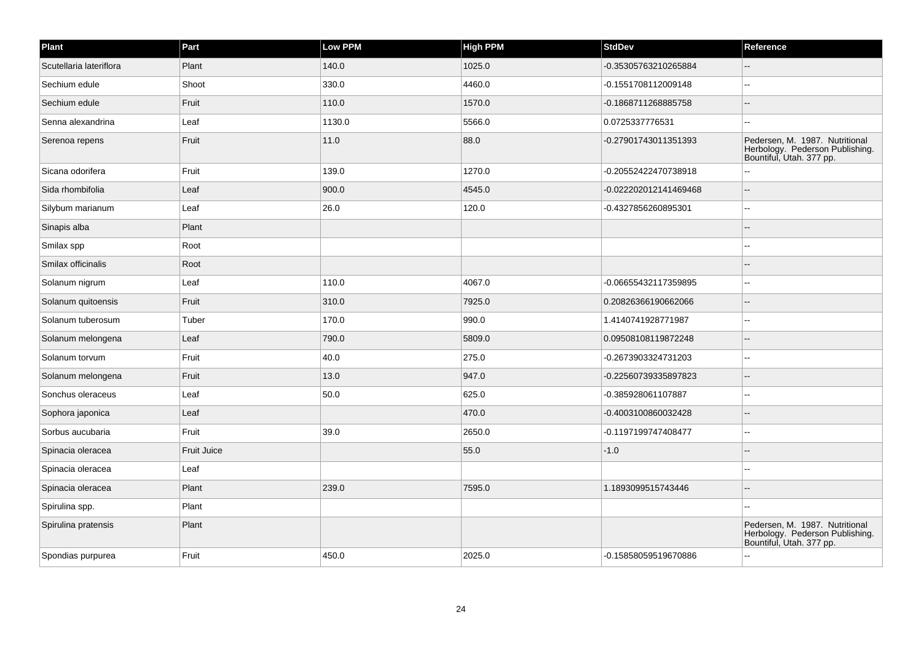| Plant                   | Part        | <b>Low PPM</b> | <b>High PPM</b> | <b>StdDev</b>         | Reference                                                                                     |
|-------------------------|-------------|----------------|-----------------|-----------------------|-----------------------------------------------------------------------------------------------|
| Scutellaria lateriflora | Plant       | 140.0          | 1025.0          | -0.35305763210265884  |                                                                                               |
| Sechium edule           | Shoot       | 330.0          | 4460.0          | -0.1551708112009148   | $\ddotsc$                                                                                     |
| Sechium edule           | Fruit       | 110.0          | 1570.0          | -0.1868711268885758   | $\sim$                                                                                        |
| Senna alexandrina       | Leaf        | 1130.0         | 5566.0          | 0.0725337776531       |                                                                                               |
| Serenoa repens          | Fruit       | 11.0           | 88.0            | -0.27901743011351393  | Pedersen, M. 1987. Nutritional<br>Herbology. Pederson Publishing.<br>Bountiful, Utah. 377 pp. |
| Sicana odorifera        | Fruit       | 139.0          | 1270.0          | -0.20552422470738918  |                                                                                               |
| Sida rhombifolia        | Leaf        | 900.0          | 4545.0          | -0.022202012141469468 | $\sim$                                                                                        |
| Silybum marianum        | Leaf        | 26.0           | 120.0           | -0.4327856260895301   | $\sim$ $\sim$                                                                                 |
| Sinapis alba            | Plant       |                |                 |                       |                                                                                               |
| Smilax spp              | Root        |                |                 |                       |                                                                                               |
| Smilax officinalis      | Root        |                |                 |                       |                                                                                               |
| Solanum nigrum          | Leaf        | 110.0          | 4067.0          | -0.06655432117359895  | $\sim$                                                                                        |
| Solanum quitoensis      | Fruit       | 310.0          | 7925.0          | 0.20826366190662066   | $\sim$                                                                                        |
| Solanum tuberosum       | Tuber       | 170.0          | 990.0           | 1.4140741928771987    | $\sim$                                                                                        |
| Solanum melongena       | Leaf        | 790.0          | 5809.0          | 0.09508108119872248   | $\sim$                                                                                        |
| Solanum torvum          | Fruit       | 40.0           | 275.0           | -0.2673903324731203   | $\overline{\phantom{a}}$                                                                      |
| Solanum melongena       | Fruit       | 13.0           | 947.0           | -0.22560739335897823  | $-$                                                                                           |
| Sonchus oleraceus       | Leaf        | 50.0           | 625.0           | -0.385928061107887    | $\sim$ $\sim$                                                                                 |
| Sophora japonica        | Leaf        |                | 470.0           | -0.4003100860032428   |                                                                                               |
| Sorbus aucubaria        | Fruit       | 39.0           | 2650.0          | -0.1197199747408477   | $\ddotsc$                                                                                     |
| Spinacia oleracea       | Fruit Juice |                | 55.0            | $-1.0$                | $-$                                                                                           |
| Spinacia oleracea       | Leaf        |                |                 |                       |                                                                                               |
| Spinacia oleracea       | Plant       | 239.0          | 7595.0          | 1.1893099515743446    |                                                                                               |
| Spirulina spp.          | Plant       |                |                 |                       | ä.                                                                                            |
| Spirulina pratensis     | Plant       |                |                 |                       | Pedersen, M. 1987. Nutritional<br>Herbology. Pederson Publishing.<br>Bountiful, Utah. 377 pp. |
| Spondias purpurea       | Fruit       | 450.0          | 2025.0          | -0.15858059519670886  |                                                                                               |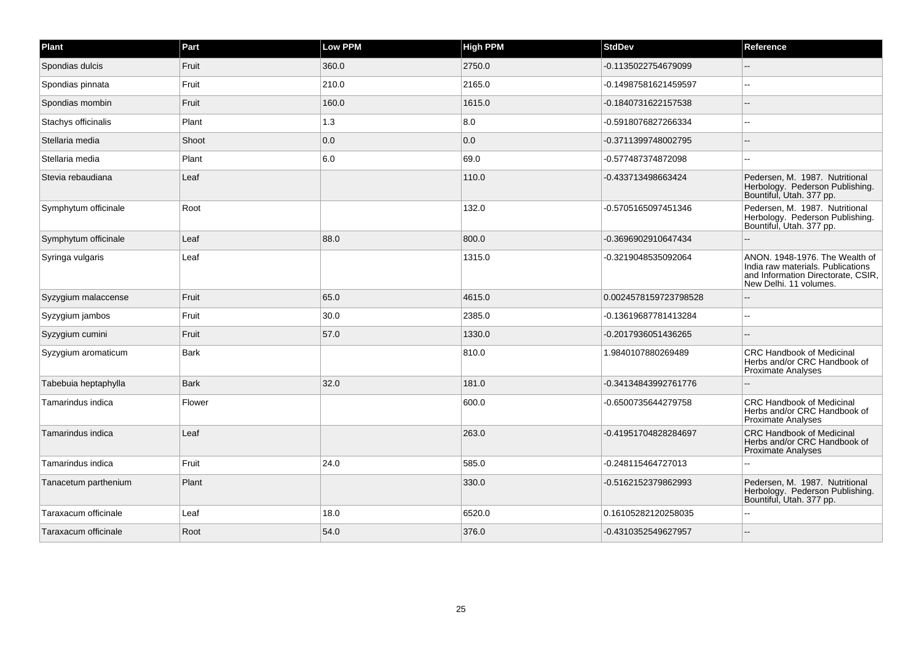| Plant                | Part        | <b>Low PPM</b> | <b>High PPM</b> | <b>StdDev</b>         | Reference                                                                                                                           |
|----------------------|-------------|----------------|-----------------|-----------------------|-------------------------------------------------------------------------------------------------------------------------------------|
| Spondias dulcis      | Fruit       | 360.0          | 2750.0          | -0.1135022754679099   |                                                                                                                                     |
| Spondias pinnata     | Fruit       | 210.0          | 2165.0          | -0.14987581621459597  |                                                                                                                                     |
| Spondias mombin      | Fruit       | 160.0          | 1615.0          | -0.1840731622157538   |                                                                                                                                     |
| Stachys officinalis  | Plant       | 1.3            | 8.0             | -0.5918076827266334   | $\sim$                                                                                                                              |
| Stellaria media      | Shoot       | 0.0            | 0.0             | -0.3711399748002795   |                                                                                                                                     |
| Stellaria media      | Plant       | 6.0            | 69.0            | -0.577487374872098    |                                                                                                                                     |
| Stevia rebaudiana    | Leaf        |                | 110.0           | -0.433713498663424    | Pedersen, M. 1987. Nutritional<br>Herbology. Pederson Publishing.<br>Bountiful, Utah. 377 pp.                                       |
| Symphytum officinale | Root        |                | 132.0           | -0.5705165097451346   | Pedersen, M. 1987. Nutritional<br>Herbology. Pederson Publishing.<br>Bountiful, Utah. 377 pp.                                       |
| Symphytum officinale | Leaf        | 88.0           | 800.0           | -0.3696902910647434   |                                                                                                                                     |
| Syringa vulgaris     | Leaf        |                | 1315.0          | -0.3219048535092064   | ANON. 1948-1976. The Wealth of<br>India raw materials. Publications<br>and Information Directorate, CSIR,<br>New Delhi. 11 volumes. |
| Syzygium malaccense  | Fruit       | 65.0           | 4615.0          | 0.0024578159723798528 |                                                                                                                                     |
| Syzygium jambos      | Fruit       | 30.0           | 2385.0          | -0.13619687781413284  |                                                                                                                                     |
| Syzygium cumini      | Fruit       | 57.0           | 1330.0          | -0.2017936051436265   |                                                                                                                                     |
| Syzygium aromaticum  | <b>Bark</b> |                | 810.0           | 1.9840107880269489    | <b>CRC Handbook of Medicinal</b><br>Herbs and/or CRC Handbook of<br>Proximate Analyses                                              |
| Tabebuia heptaphylla | <b>Bark</b> | 32.0           | 181.0           | -0.34134843992761776  |                                                                                                                                     |
| Tamarindus indica    | Flower      |                | 600.0           | -0.6500735644279758   | <b>CRC Handbook of Medicinal</b><br>Herbs and/or CRC Handbook of<br><b>Proximate Analyses</b>                                       |
| Tamarindus indica    | Leaf        |                | 263.0           | -0.41951704828284697  | <b>CRC Handbook of Medicinal</b><br>Herbs and/or CRC Handbook of<br>Proximate Analyses                                              |
| Tamarindus indica    | Fruit       | 24.0           | 585.0           | -0.248115464727013    |                                                                                                                                     |
| Tanacetum parthenium | Plant       |                | 330.0           | -0.5162152379862993   | Pedersen, M. 1987. Nutritional<br>Herbology. Pederson Publishing.<br>Bountiful, Utah. 377 pp.                                       |
| Taraxacum officinale | Leaf        | 18.0           | 6520.0          | 0.16105282120258035   |                                                                                                                                     |
| Taraxacum officinale | Root        | 54.0           | 376.0           | -0.4310352549627957   |                                                                                                                                     |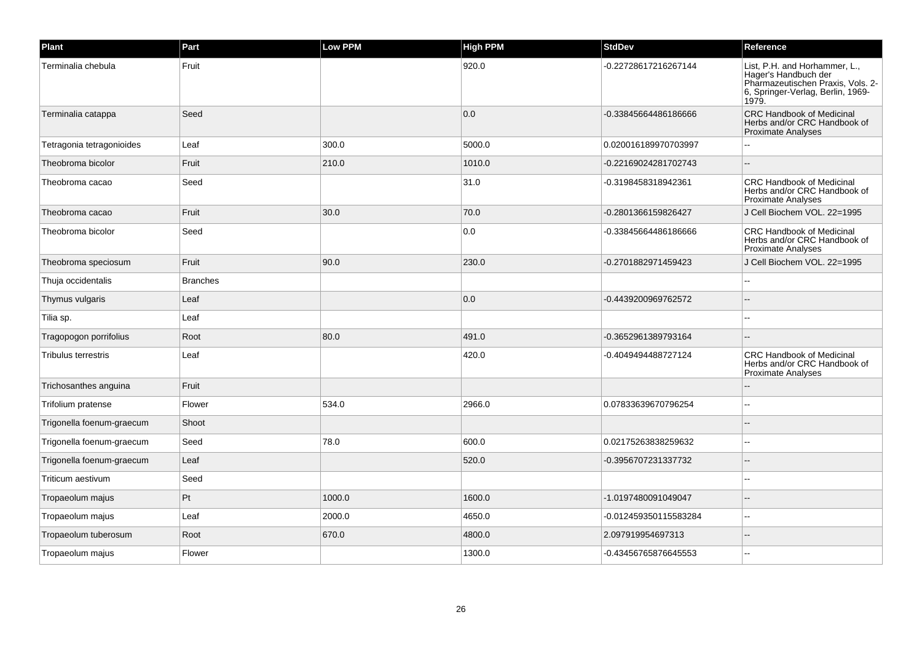| Plant                      | Part            | Low PPM | <b>High PPM</b> | StdDev                | Reference                                                                                                                                |
|----------------------------|-----------------|---------|-----------------|-----------------------|------------------------------------------------------------------------------------------------------------------------------------------|
| Terminalia chebula         | Fruit           |         | 920.0           | -0.22728617216267144  | List, P.H. and Horhammer, L.,<br>Hager's Handbuch der<br>Pharmazeutischen Praxis, Vols. 2-<br>6, Springer-Verlag, Berlin, 1969-<br>1979. |
| Terminalia catappa         | Seed            |         | 0.0             | -0.33845664486186666  | <b>CRC Handbook of Medicinal</b><br>Herbs and/or CRC Handbook of<br><b>Proximate Analyses</b>                                            |
| Tetragonia tetragonioides  | Leaf            | 300.0   | 5000.0          | 0.020016189970703997  |                                                                                                                                          |
| Theobroma bicolor          | Fruit           | 210.0   | 1010.0          | -0.22169024281702743  |                                                                                                                                          |
| Theobroma cacao            | Seed            |         | 31.0            | -0.3198458318942361   | <b>CRC Handbook of Medicinal</b><br>Herbs and/or CRC Handbook of<br><b>Proximate Analyses</b>                                            |
| Theobroma cacao            | Fruit           | 30.0    | 70.0            | -0.2801366159826427   | J Cell Biochem VOL. 22=1995                                                                                                              |
| Theobroma bicolor          | Seed            |         | 0.0             | 0.33845664486186666   | <b>CRC Handbook of Medicinal</b><br>Herbs and/or CRC Handbook of<br><b>Proximate Analyses</b>                                            |
| Theobroma speciosum        | Fruit           | 90.0    | 230.0           | -0.2701882971459423   | J Cell Biochem VOL, 22=1995                                                                                                              |
| Thuja occidentalis         | <b>Branches</b> |         |                 |                       |                                                                                                                                          |
| Thymus vulgaris            | Leaf            |         | 0.0             | -0.4439200969762572   |                                                                                                                                          |
| Tilia sp.                  | Leaf            |         |                 |                       |                                                                                                                                          |
| Tragopogon porrifolius     | Root            | 80.0    | 491.0           | -0.3652961389793164   |                                                                                                                                          |
| <b>Tribulus terrestris</b> | Leaf            |         | 420.0           | -0.4049494488727124   | <b>CRC Handbook of Medicinal</b><br>Herbs and/or CRC Handbook of<br><b>Proximate Analyses</b>                                            |
| Trichosanthes anguina      | Fruit           |         |                 |                       |                                                                                                                                          |
| Trifolium pratense         | Flower          | 534.0   | 2966.0          | 0.07833639670796254   | ż.                                                                                                                                       |
| Trigonella foenum-graecum  | Shoot           |         |                 |                       |                                                                                                                                          |
| Trigonella foenum-graecum  | Seed            | 78.0    | 600.0           | 0.02175263838259632   |                                                                                                                                          |
| Trigonella foenum-graecum  | Leaf            |         | 520.0           | -0.3956707231337732   |                                                                                                                                          |
| Triticum aestivum          | Seed            |         |                 |                       |                                                                                                                                          |
| Tropaeolum majus           | Pt              | 1000.0  | 1600.0          | -1.0197480091049047   |                                                                                                                                          |
| Tropaeolum majus           | Leaf            | 2000.0  | 4650.0          | -0.012459350115583284 | н.                                                                                                                                       |
| Tropaeolum tuberosum       | Root            | 670.0   | 4800.0          | 2.097919954697313     |                                                                                                                                          |
| Tropaeolum majus           | Flower          |         | 1300.0          | -0.43456765876645553  | --                                                                                                                                       |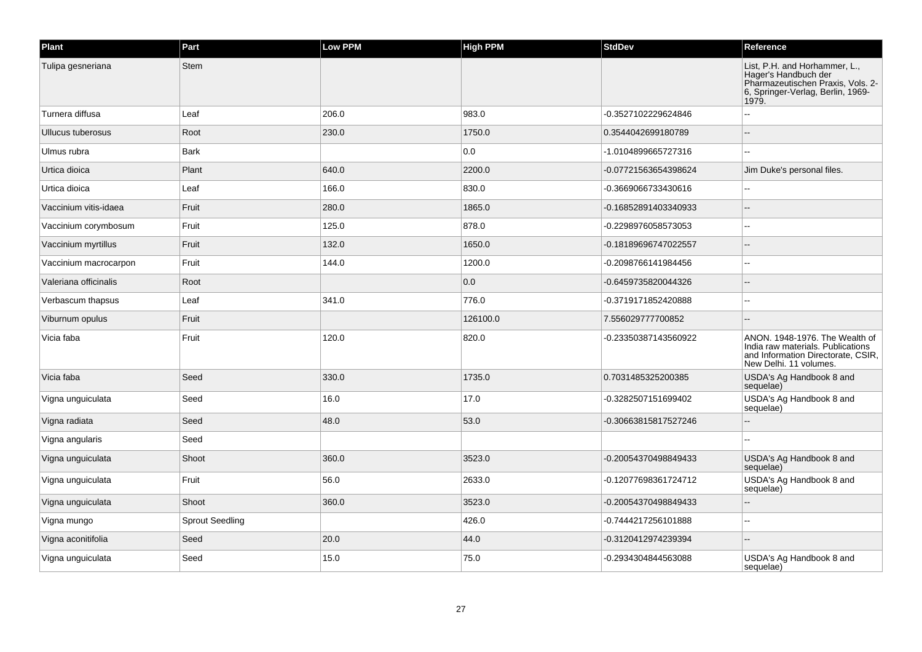| Plant                 | Part                   | Low PPM | <b>High PPM</b> | <b>StdDev</b>        | Reference                                                                                                                                |
|-----------------------|------------------------|---------|-----------------|----------------------|------------------------------------------------------------------------------------------------------------------------------------------|
| Tulipa gesneriana     | <b>Stem</b>            |         |                 |                      | List, P.H. and Horhammer, L.,<br>Hager's Handbuch der<br>Pharmazeutischen Praxis, Vols. 2-<br>6, Springer-Verlag, Berlin, 1969-<br>1979. |
| Turnera diffusa       | Leaf                   | 206.0   | 983.0           | -0.3527102229624846  |                                                                                                                                          |
| Ullucus tuberosus     | Root                   | 230.0   | 1750.0          | 0.3544042699180789   |                                                                                                                                          |
| Ulmus rubra           | <b>Bark</b>            |         | 0.0             | -1.0104899665727316  |                                                                                                                                          |
| Urtica dioica         | Plant                  | 640.0   | 2200.0          | -0.07721563654398624 | Jim Duke's personal files.                                                                                                               |
| Urtica dioica         | Leaf                   | 166.0   | 830.0           | -0.3669066733430616  |                                                                                                                                          |
| Vaccinium vitis-idaea | Fruit                  | 280.0   | 1865.0          | -0.16852891403340933 |                                                                                                                                          |
| Vaccinium corymbosum  | Fruit                  | 125.0   | 878.0           | -0.2298976058573053  | ۵.                                                                                                                                       |
| Vaccinium myrtillus   | Fruit                  | 132.0   | 1650.0          | -0.18189696747022557 |                                                                                                                                          |
| Vaccinium macrocarpon | Fruit                  | 144.0   | 1200.0          | -0.2098766141984456  |                                                                                                                                          |
| Valeriana officinalis | Root                   |         | 0.0             | -0.6459735820044326  |                                                                                                                                          |
| Verbascum thapsus     | Leaf                   | 341.0   | 776.0           | -0.3719171852420888  |                                                                                                                                          |
| Viburnum opulus       | Fruit                  |         | 126100.0        | 7.556029777700852    |                                                                                                                                          |
| Vicia faba            | Fruit                  | 120.0   | 820.0           | -0.23350387143560922 | ANON. 1948-1976. The Wealth of<br>India raw materials. Publications<br>and Information Directorate, CSIR,<br>New Delhi. 11 volumes.      |
| Vicia faba            | Seed                   | 330.0   | 1735.0          | 0.7031485325200385   | USDA's Ag Handbook 8 and<br>sequelae)                                                                                                    |
| Vigna unguiculata     | Seed                   | 16.0    | 17.0            | -0.3282507151699402  | USDA's Ag Handbook 8 and<br>sequelae)                                                                                                    |
| Vigna radiata         | Seed                   | 48.0    | 53.0            | -0.30663815817527246 |                                                                                                                                          |
| Vigna angularis       | Seed                   |         |                 |                      |                                                                                                                                          |
| Vigna unguiculata     | Shoot                  | 360.0   | 3523.0          | -0.20054370498849433 | USDA's Ag Handbook 8 and<br>sequelae)                                                                                                    |
| Vigna unguiculata     | Fruit                  | 56.0    | 2633.0          | -0.12077698361724712 | USDA's Ag Handbook 8 and<br>sequelae)                                                                                                    |
| Vigna unguiculata     | Shoot                  | 360.0   | 3523.0          | -0.20054370498849433 |                                                                                                                                          |
| Vigna mungo           | <b>Sprout Seedling</b> |         | 426.0           | -0.7444217256101888  |                                                                                                                                          |
| Vigna aconitifolia    | Seed                   | 20.0    | 44.0            | -0.3120412974239394  |                                                                                                                                          |
| Vigna unguiculata     | Seed                   | 15.0    | 75.0            | -0.2934304844563088  | USDA's Ag Handbook 8 and<br>sequelae)                                                                                                    |